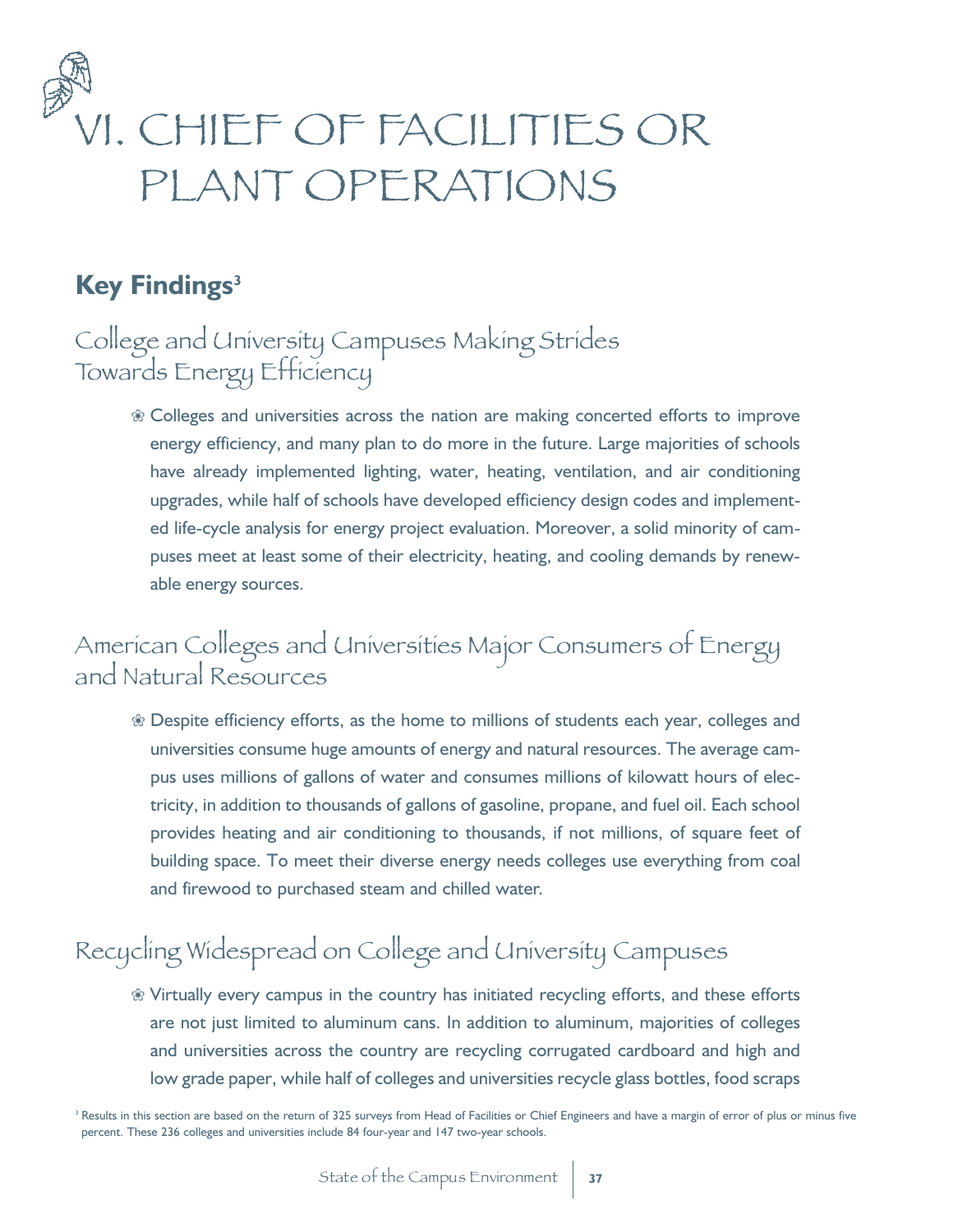

### **Key Findings<sup>3</sup>**

## College and University Campuses Making Strides Towards Energy Efficiency

 $%$  Colleges and universities across the nation are making concerted efforts to improve energy efficiency, and many plan to do more in the future. Large majorities of schools have already implemented lighting, water, heating, ventilation, and air conditioning upgrades, while half of schools have developed efficiency design codes and implemented life-cycle analysis for energy project evaluation. Moreover, a solid minority of campuses meet at least some of their electricity, heating, and cooling demands by renewable energy sources.

## American Colleges and Universities Major Consumers of Energy and Natural Resources

 $\%$  Despite efficiency efforts, as the home to millions of students each year, colleges and universities consume huge amounts of energy and natural resources. The average campus uses millions of gallons of water and consumes millions of kilowatt hours of electricity, in addition to thousands of gallons of gasoline, propane, and fuel oil. Each school provides heating and air conditioning to thousands, if not millions, of square feet of building space. To meet their diverse energy needs colleges use everything from coal and firewood to purchased steam and chilled water.

# Recycling Widespread on College and University Campuses

 $%$  Virtually every campus in the country has initiated recycling efforts, and these efforts are not just limited to aluminum cans. In addition to aluminum, majorities of colleges and universities across the country are recycling corrugated cardboard and high and low grade paper, while half of colleges and universities recycle glass bottles, food scraps

<sup>&</sup>lt;sup>3</sup> Results in this section are based on the return of 325 surveys from Head of Facilities or Chief Engineers and have a margin of error of plus or minus five percent. These 236 colleges and universities include 84 four-year and 147 two-year schools.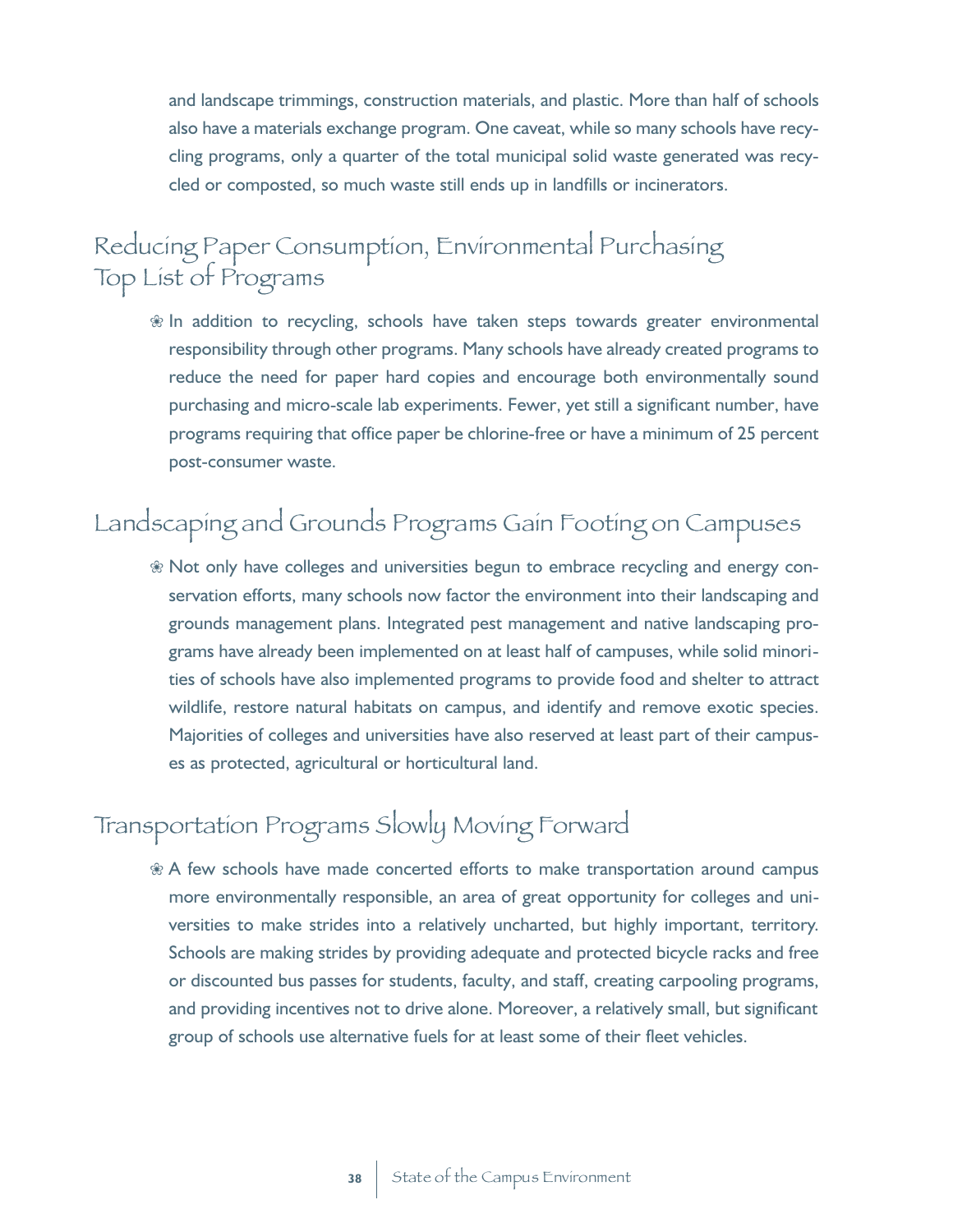and landscape trimmings, construction materials, and plastic. More than half of schools also have a materials exchange program. One caveat, while so many schools have recycling programs, only a quarter of the total municipal solid waste generated was recycled or composted, so much waste still ends up in landfills or incinerators.

## Reducing Paper Consumption, Environmental Purchasing Top List of Programs

 $%$  In addition to recycling, schools have taken steps towards greater environmental responsibility through other programs. Many schools have already created programs to reduce the need for paper hard copies and encourage both environmentally sound purchasing and micro-scale lab experiments. Fewer, yet still a significant number, have programs requiring that office paper be chlorine-free or have a minimum of 25 percent post-consumer waste.

## Landscaping and Grounds Programs Gain Footing on Campuses

 $\%$  Not only have colleges and universities begun to embrace recycling and energy conservation efforts, many schools now factor the environment into their landscaping and grounds management plans. Integrated pest management and native landscaping programs have already been implemented on at least half of campuses, while solid minorities of schools have also implemented programs to provide food and shelter to attract wildlife, restore natural habitats on campus, and identify and remove exotic species. Majorities of colleges and universities have also reserved at least part of their campuses as protected, agricultural or horticultural land.

## Transportation Programs Slowly Moving Forward

 $\mathcal X$  A few schools have made concerted efforts to make transportation around campus more environmentally responsible, an area of great opportunity for colleges and universities to make strides into a relatively uncharted, but highly important, territory. Schools are making strides by providing adequate and protected bicycle racks and free or discounted bus passes for students, faculty, and staff, creating carpooling programs, and providing incentives not to drive alone. Moreover, a relatively small, but significant group of schools use alternative fuels for at least some of their fleet vehicles.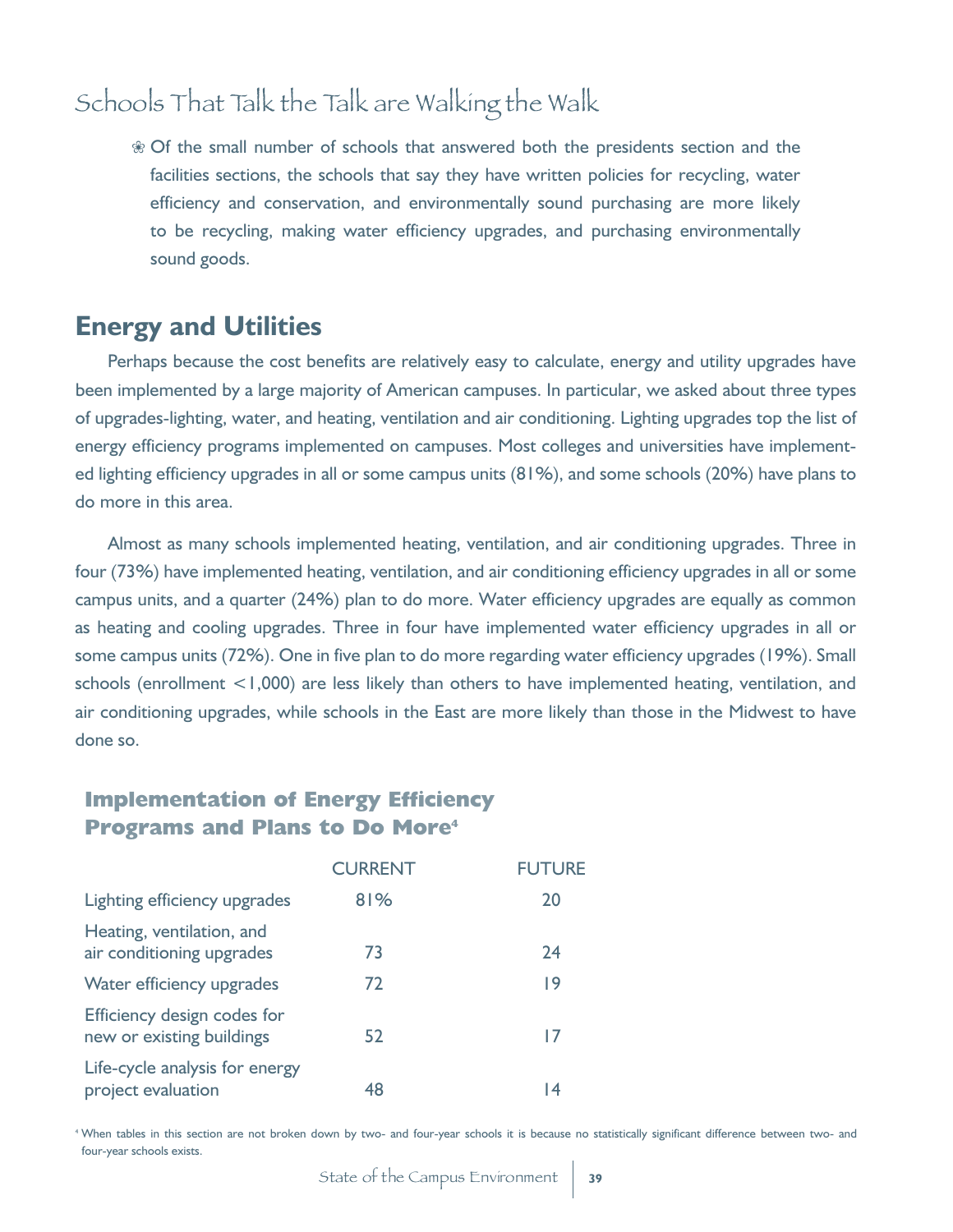## Schools That Talk the Talk are Walking the Walk

 $\circledast$  Of the small number of schools that answered both the presidents section and the facilities sections, the schools that say they have written policies for recycling, water efficiency and conservation, and environmentally sound purchasing are more likely to be recycling, making water efficiency upgrades, and purchasing environmentally sound goods.

#### **Energy and Utilities**

Perhaps because the cost benefits are relatively easy to calculate, energy and utility upgrades have been implemented by a large majority of American campuses. In particular, we asked about three types of upgrades-lighting, water, and heating, ventilation and air conditioning. Lighting upgrades top the list of energy efficiency programs implemented on campuses. Most colleges and universities have implemented lighting efficiency upgrades in all or some campus units (81%), and some schools (20%) have plans to do more in this area.

Almost as many schools implemented heating, ventilation, and air conditioning upgrades. Three in four (73%) have implemented heating, ventilation, and air conditioning efficiency upgrades in all or some campus units, and a quarter (24%) plan to do more. Water efficiency upgrades are equally as common as heating and cooling upgrades. Three in four have implemented water efficiency upgrades in all or some campus units (72%). One in five plan to do more regarding water efficiency upgrades (19%). Small schools (enrollment <1,000) are less likely than others to have implemented heating, ventilation, and air conditioning upgrades, while schools in the East are more likely than those in the Midwest to have done so.

#### **Implementation of Energy Efficiency Programs and Plans to Do More<sup>4</sup>**

|                                                          | <b>CURRENT</b> | <b>FUTURE</b> |
|----------------------------------------------------------|----------------|---------------|
| Lighting efficiency upgrades                             | 81%            | 20            |
| Heating, ventilation, and<br>air conditioning upgrades   | 73             | 24            |
| Water efficiency upgrades                                | 72             | 19            |
| Efficiency design codes for<br>new or existing buildings | 52             | 17            |
| Life-cycle analysis for energy<br>project evaluation     | 48             | 4             |

<sup>4</sup> When tables in this section are not broken down by two- and four-year schools it is because no statistically significant difference between two- and four-year schools exists.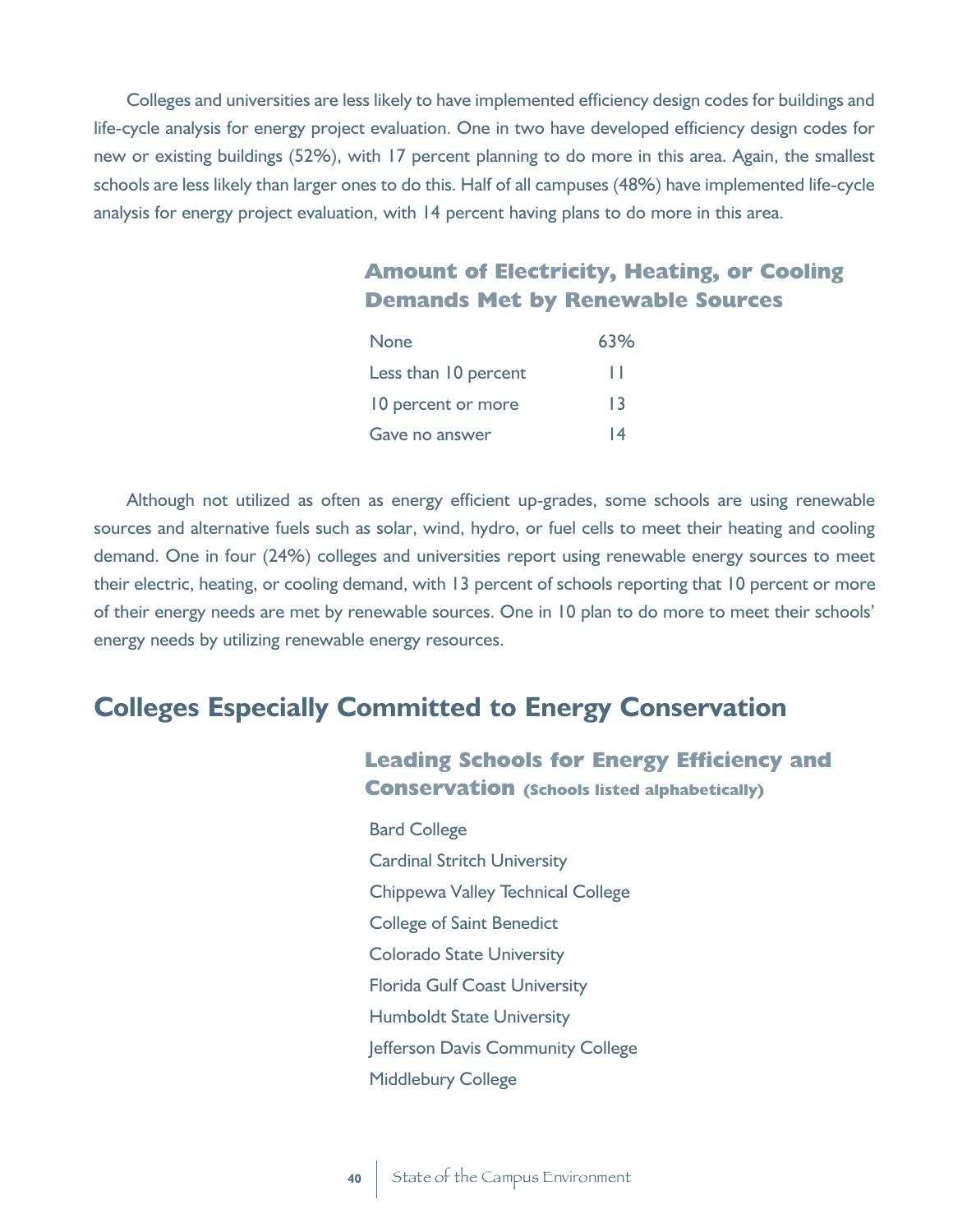Colleges and universities are less likely to have implemented efficiency design codes for buildings and life-cycle analysis for energy project evaluation. One in two have developed efficiency design codes for new or existing buildings (52%), with 17 percent planning to do more in this area. Again, the smallest schools are less likely than larger ones to do this. Half of all campuses (48%) have implemented life-cycle analysis for energy project evaluation, with 14 percent having plans to do more in this area.

#### **Amount of Electricity, Heating, or Cooling Demands Met by Renewable Sources**

| <b>None</b>          | 63% |
|----------------------|-----|
| Less than 10 percent | ш   |
| 10 percent or more   | 13  |
| Gave no answer       | 14  |

Although not utilized as often as energy efficient up-grades, some schools are using renewable sources and alternative fuels such as solar, wind, hydro, or fuel cells to meet their heating and cooling demand. One in four (24%) colleges and universities report using renewable energy sources to meet their electric, heating, or cooling demand, with 13 percent of schools reporting that 10 percent or more of their energy needs are met by renewable sources. One in 10 plan to do more to meet their schools' energy needs by utilizing renewable energy resources.

## **Colleges Especially Committed to Energy Conservation**

#### **Leading Schools for Energy Efficiency and Conservation (Schools listed alphabetically)**

Bard College Cardinal Stritch University Chippewa Valley Technical College College of Saint Benedict Colorado State University Florida Gulf Coast University Humboldt State University Jefferson Davis Community College Middlebury College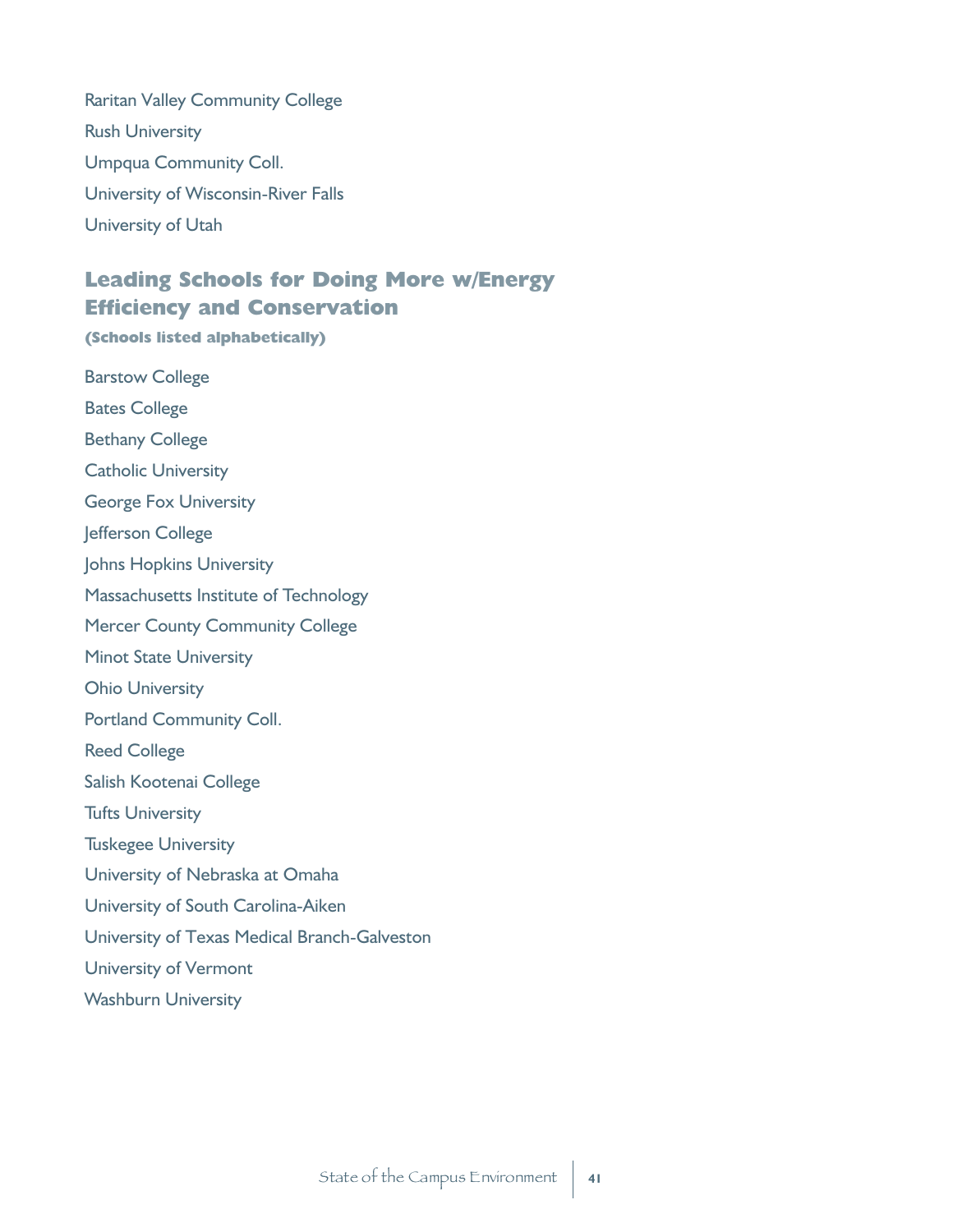Raritan Valley Community College Rush University Umpqua Community Coll. University of Wisconsin-River Falls University of Utah

#### **Leading Schools for Doing More w/Energy Efficiency and Conservation**

**(Schools listed alphabetically)**

Barstow College Bates College Bethany College Catholic University George Fox University Jefferson College Johns Hopkins University Massachusetts Institute of Technology Mercer County Community College Minot State University Ohio University Portland Community Coll. Reed College Salish Kootenai College Tufts University Tuskegee University

- University of Nebraska at Omaha
- University of South Carolina-Aiken
- University of Texas Medical Branch-Galveston

University of Vermont

Washburn University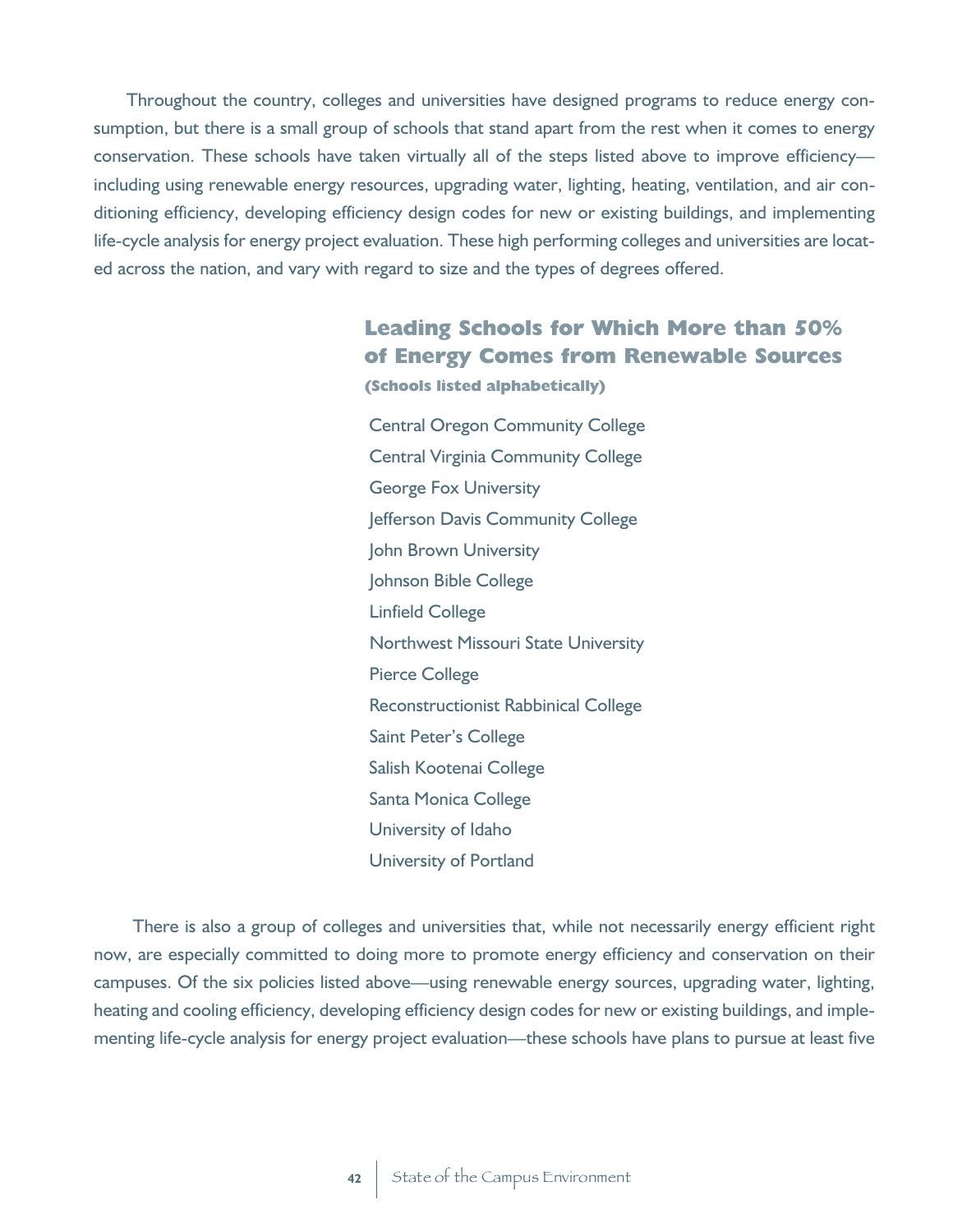Throughout the country, colleges and universities have designed programs to reduce energy consumption, but there is a small group of schools that stand apart from the rest when it comes to energy conservation. These schools have taken virtually all of the steps listed above to improve efficiency including using renewable energy resources, upgrading water, lighting, heating, ventilation, and air conditioning efficiency, developing efficiency design codes for new or existing buildings, and implementing life-cycle analysis for energy project evaluation. These high performing colleges and universities are located across the nation, and vary with regard to size and the types of degrees offered.

### **Leading Schools for Which More than 50% of Energy Comes from Renewable Sources**

**(Schools listed alphabetically)**

Central Oregon Community College Central Virginia Community College George Fox University Jefferson Davis Community College John Brown University Johnson Bible College Linfield College Northwest Missouri State University Pierce College Reconstructionist Rabbinical College Saint Peter's College Salish Kootenai College Santa Monica College University of Idaho University of Portland

There is also a group of colleges and universities that, while not necessarily energy efficient right now, are especially committed to doing more to promote energy efficiency and conservation on their campuses. Of the six policies listed above—using renewable energy sources, upgrading water, lighting, heating and cooling efficiency, developing efficiency design codes for new or existing buildings, and implementing life-cycle analysis for energy project evaluation—these schools have plans to pursue at least five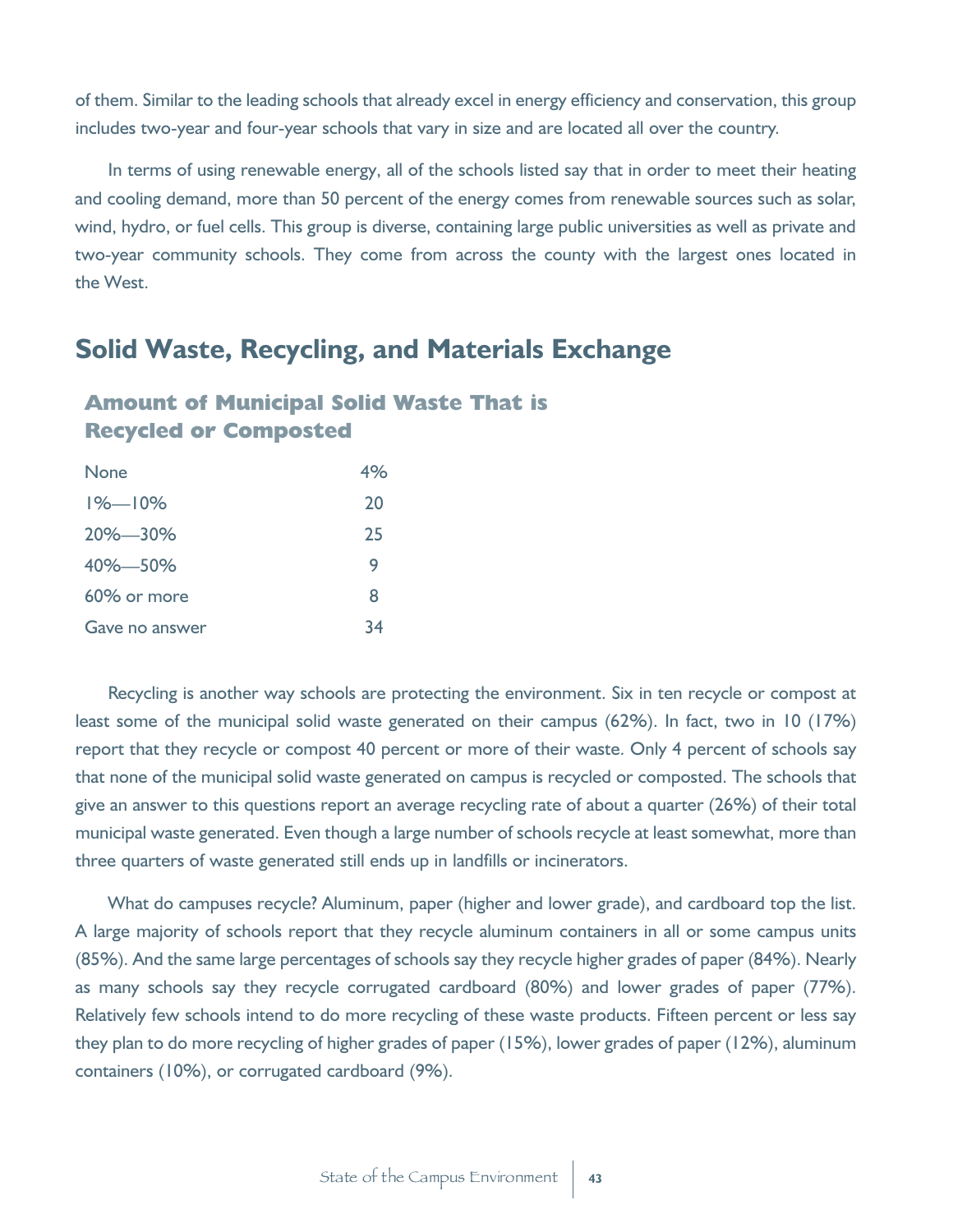of them. Similar to the leading schools that already excel in energy efficiency and conservation, this group includes two-year and four-year schools that vary in size and are located all over the country.

In terms of using renewable energy, all of the schools listed say that in order to meet their heating and cooling demand, more than 50 percent of the energy comes from renewable sources such as solar, wind, hydro, or fuel cells. This group is diverse, containing large public universities as well as private and two-year community schools. They come from across the county with the largest ones located in the West.

### **Solid Waste, Recycling, and Materials Exchange**

#### **Amount of Municipal Solid Waste That is Recycled or Composted**

| <b>None</b>    | 4% |
|----------------|----|
| $1\% - 10\%$   | 20 |
| $20\% - 30\%$  | 25 |
| 40% 50%        | 9  |
| 60% or more    | 8  |
| Gave no answer | 34 |

Recycling is another way schools are protecting the environment. Six in ten recycle or compost at least some of the municipal solid waste generated on their campus (62%). In fact, two in 10 (17%) report that they recycle or compost 40 percent or more of their waste. Only 4 percent of schools say that none of the municipal solid waste generated on campus is recycled or composted. The schools that give an answer to this questions report an average recycling rate of about a quarter (26%) of their total municipal waste generated. Even though a large number of schools recycle at least somewhat, more than three quarters of waste generated still ends up in landfills or incinerators.

What do campuses recycle? Aluminum, paper (higher and lower grade), and cardboard top the list. A large majority of schools report that they recycle aluminum containers in all or some campus units (85%). And the same large percentages of schools say they recycle higher grades of paper (84%). Nearly as many schools say they recycle corrugated cardboard (80%) and lower grades of paper (77%). Relatively few schools intend to do more recycling of these waste products. Fifteen percent or less say they plan to do more recycling of higher grades of paper (15%), lower grades of paper (12%), aluminum containers (10%), or corrugated cardboard (9%).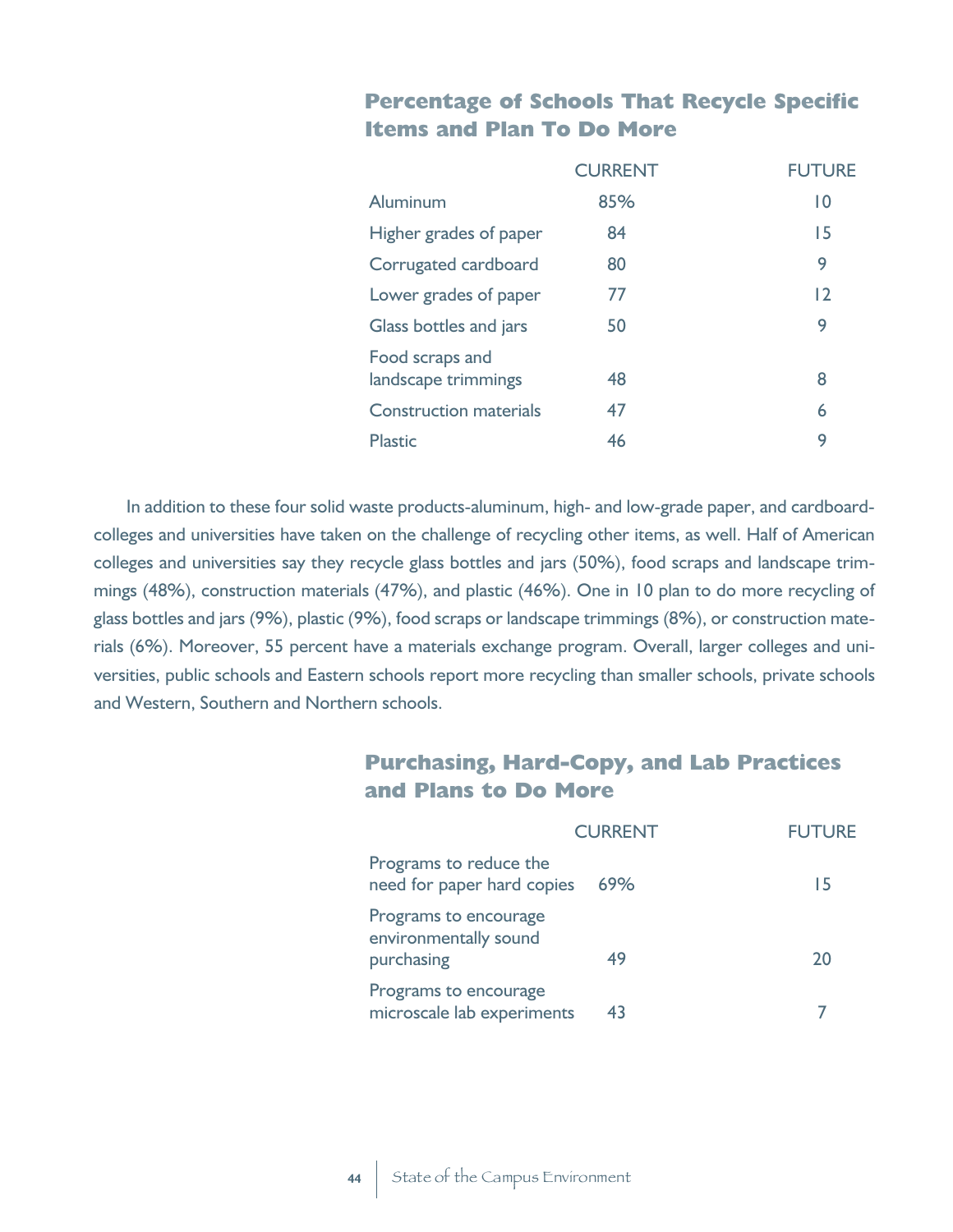#### **Percentage of Schools That Recycle Specific Items and Plan To Do More**

|                                        | <b>CURRENT</b> | <b>FUTURF</b>  |
|----------------------------------------|----------------|----------------|
| Aluminum                               | 85%            | 0              |
| Higher grades of paper                 | 84             | 15             |
| Corrugated cardboard                   | 80             | 9              |
| Lower grades of paper                  | 77             | $\overline{2}$ |
| Glass bottles and jars                 | 50             | 9              |
| Food scraps and<br>landscape trimmings | 48             | 8              |
| <b>Construction materials</b>          | 47             | 6              |
| <b>Plastic</b>                         | 46             | 9              |

In addition to these four solid waste products-aluminum, high- and low-grade paper, and cardboardcolleges and universities have taken on the challenge of recycling other items, as well. Half of American colleges and universities say they recycle glass bottles and jars (50%), food scraps and landscape trimmings (48%), construction materials (47%), and plastic (46%). One in 10 plan to do more recycling of glass bottles and jars (9%), plastic (9%), food scraps or landscape trimmings (8%), or construction materials (6%). Moreover, 55 percent have a materials exchange program. Overall, larger colleges and universities, public schools and Eastern schools report more recycling than smaller schools, private schools and Western, Southern and Northern schools.

#### **Purchasing, Hard-Copy, and Lab Practices and Plans to Do More**

|                                                              | <b>CURRENT</b> | <b>FUTURE</b> |
|--------------------------------------------------------------|----------------|---------------|
| Programs to reduce the<br>need for paper hard copies         | 69%            | 15            |
| Programs to encourage<br>environmentally sound<br>purchasing | 49             | 20            |
| Programs to encourage<br>microscale lab experiments          | 43             |               |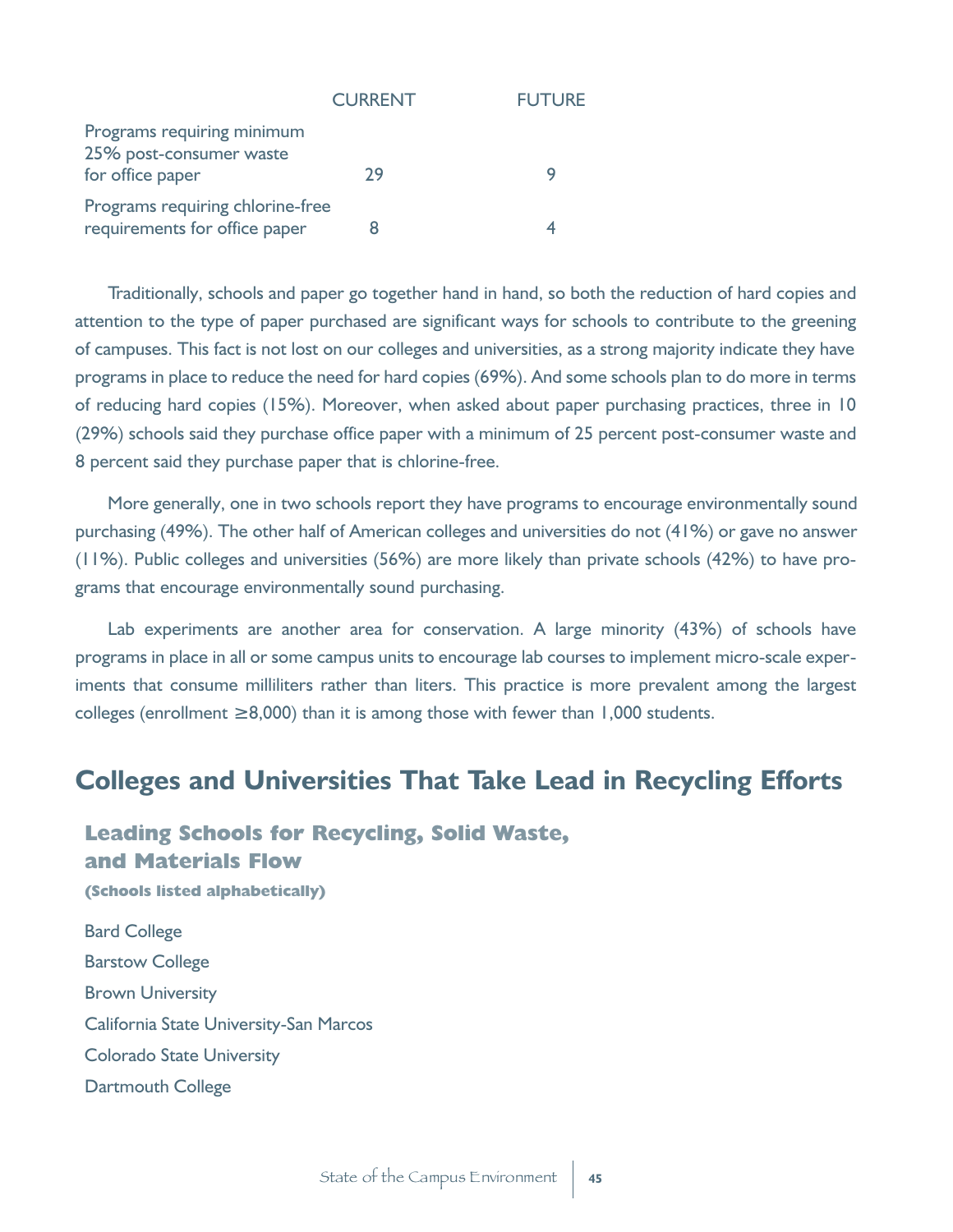|                                                                           | <b>CURRENT</b> | <b>FUTURE</b> |
|---------------------------------------------------------------------------|----------------|---------------|
| Programs requiring minimum<br>25% post-consumer waste<br>for office paper | 29             |               |
| Programs requiring chlorine-free<br>requirements for office paper         |                |               |

Traditionally, schools and paper go together hand in hand, so both the reduction of hard copies and attention to the type of paper purchased are significant ways for schools to contribute to the greening of campuses. This fact is not lost on our colleges and universities, as a strong majority indicate they have programs in place to reduce the need for hard copies (69%). And some schools plan to do more in terms of reducing hard copies (15%). Moreover, when asked about paper purchasing practices, three in 10 (29%) schools said they purchase office paper with a minimum of 25 percent post-consumer waste and 8 percent said they purchase paper that is chlorine-free.

More generally, one in two schools report they have programs to encourage environmentally sound purchasing (49%). The other half of American colleges and universities do not (41%) or gave no answer (11%). Public colleges and universities (56%) are more likely than private schools (42%) to have programs that encourage environmentally sound purchasing.

Lab experiments are another area for conservation. A large minority (43%) of schools have programs in place in all or some campus units to encourage lab courses to implement micro-scale experiments that consume milliliters rather than liters. This practice is more prevalent among the largest colleges (enrollment 8,000) than it is among those with fewer than 1,000 students.

### **Colleges and Universities That Take Lead in Recycling Efforts**

#### **Leading Schools for Recycling, Solid Waste, and Materials Flow**

Bard College Barstow College Brown University California State University-San Marcos Colorado State University Dartmouth College

**(Schools listed alphabetically)**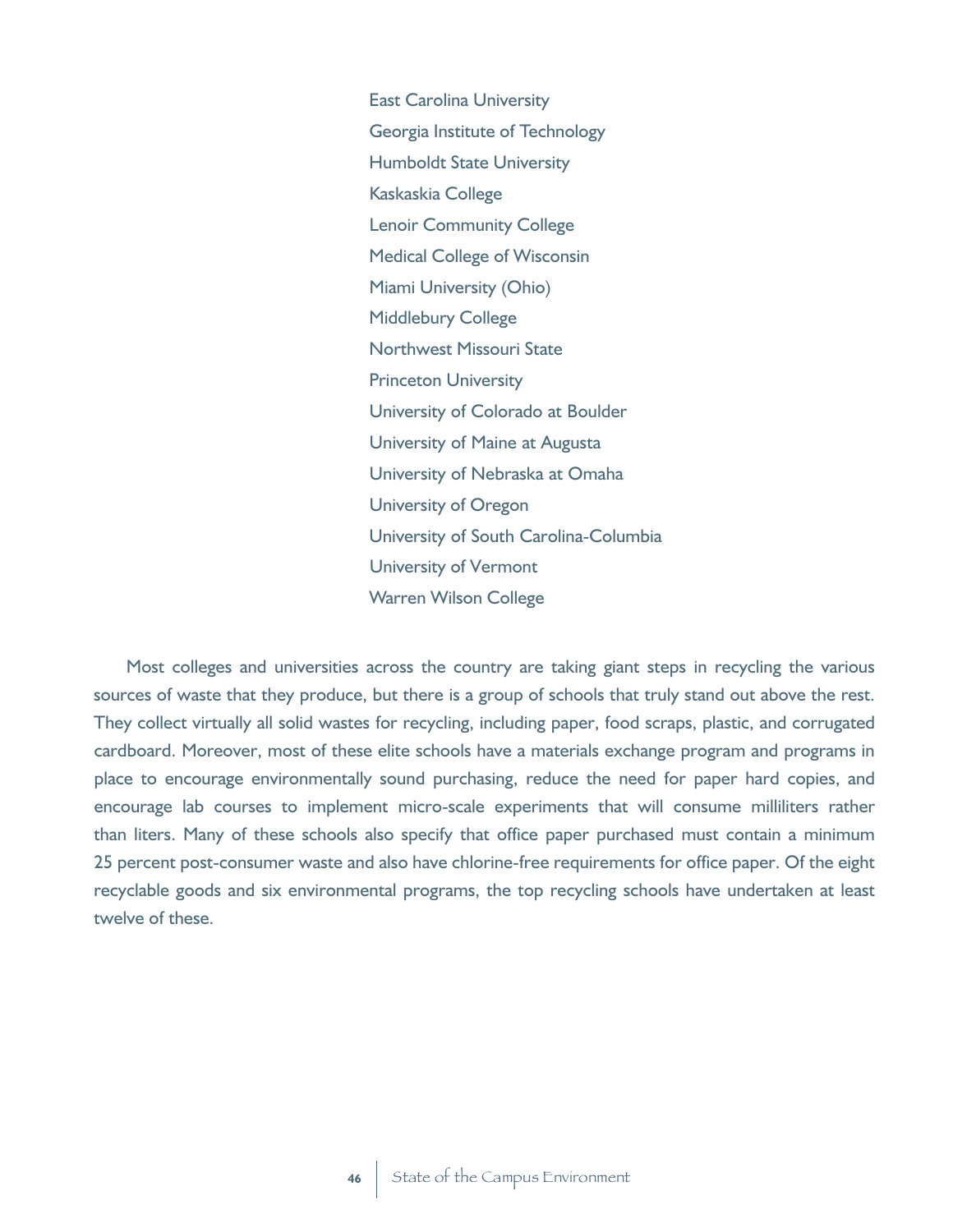East Carolina University Georgia Institute of Technology Humboldt State University Kaskaskia College Lenoir Community College Medical College of Wisconsin Miami University (Ohio) Middlebury College Northwest Missouri State Princeton University University of Colorado at Boulder University of Maine at Augusta University of Nebraska at Omaha University of Oregon University of South Carolina-Columbia University of Vermont Warren Wilson College

Most colleges and universities across the country are taking giant steps in recycling the various sources of waste that they produce, but there is a group of schools that truly stand out above the rest. They collect virtually all solid wastes for recycling, including paper, food scraps, plastic, and corrugated cardboard. Moreover, most of these elite schools have a materials exchange program and programs in place to encourage environmentally sound purchasing, reduce the need for paper hard copies, and encourage lab courses to implement micro-scale experiments that will consume milliliters rather than liters. Many of these schools also specify that office paper purchased must contain a minimum 25 percent post-consumer waste and also have chlorine-free requirements for office paper. Of the eight recyclable goods and six environmental programs, the top recycling schools have undertaken at least twelve of these.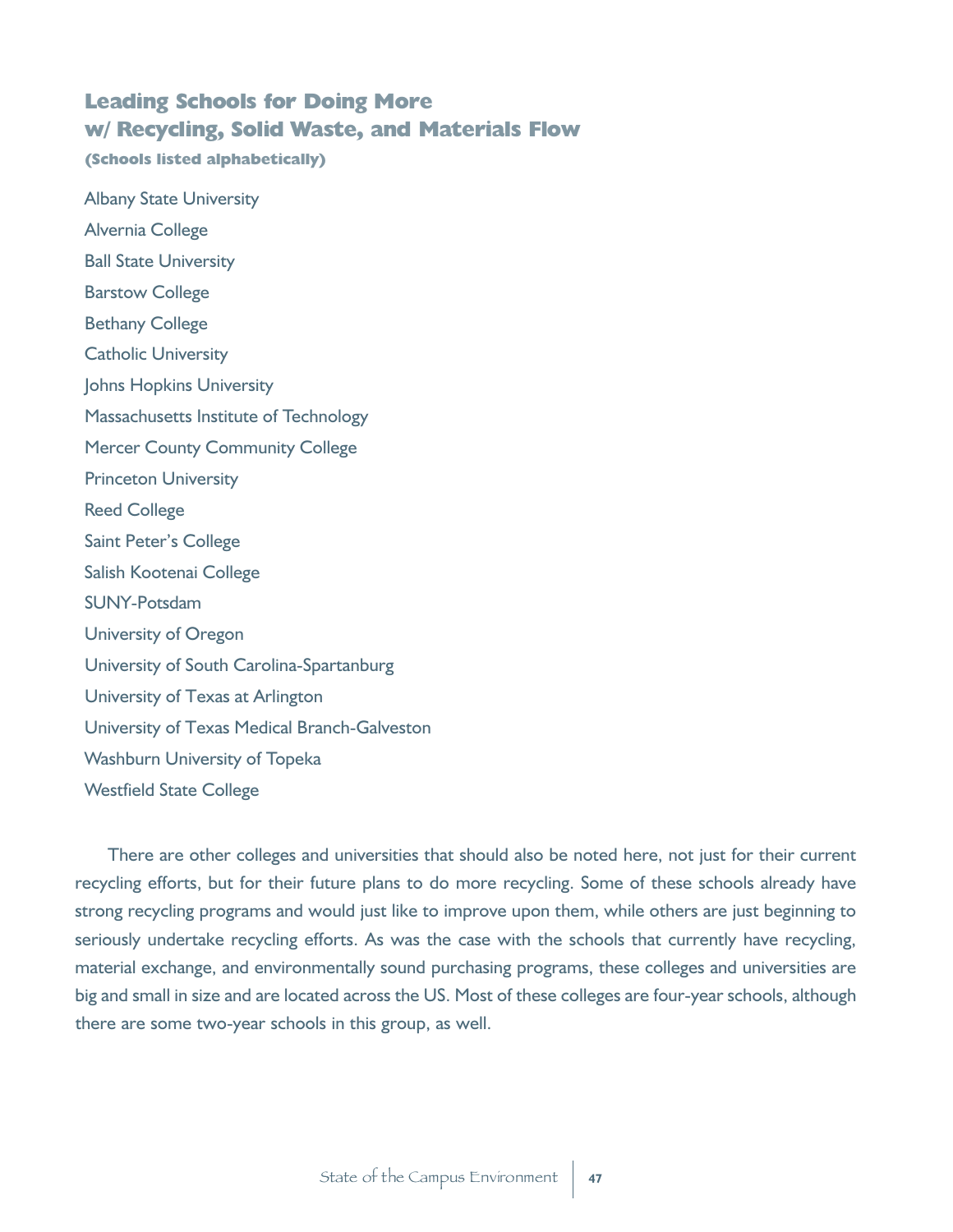#### **Leading Schools for Doing More w/ Recycling, Solid Waste, and Materials Flow**

**(Schools listed alphabetically)**

Albany State University Alvernia College Ball State University Barstow College Bethany College Catholic University Johns Hopkins University Massachusetts Institute of Technology Mercer County Community College Princeton University Reed College Saint Peter's College Salish Kootenai College SUNY-Potsdam University of Oregon University of South Carolina-Spartanburg University of Texas at Arlington University of Texas Medical Branch-Galveston Washburn University of Topeka Westfield State College

There are other colleges and universities that should also be noted here, not just for their current recycling efforts, but for their future plans to do more recycling. Some of these schools already have strong recycling programs and would just like to improve upon them, while others are just beginning to seriously undertake recycling efforts. As was the case with the schools that currently have recycling, material exchange, and environmentally sound purchasing programs, these colleges and universities are big and small in size and are located across the US. Most of these colleges are four-year schools, although there are some two-year schools in this group, as well.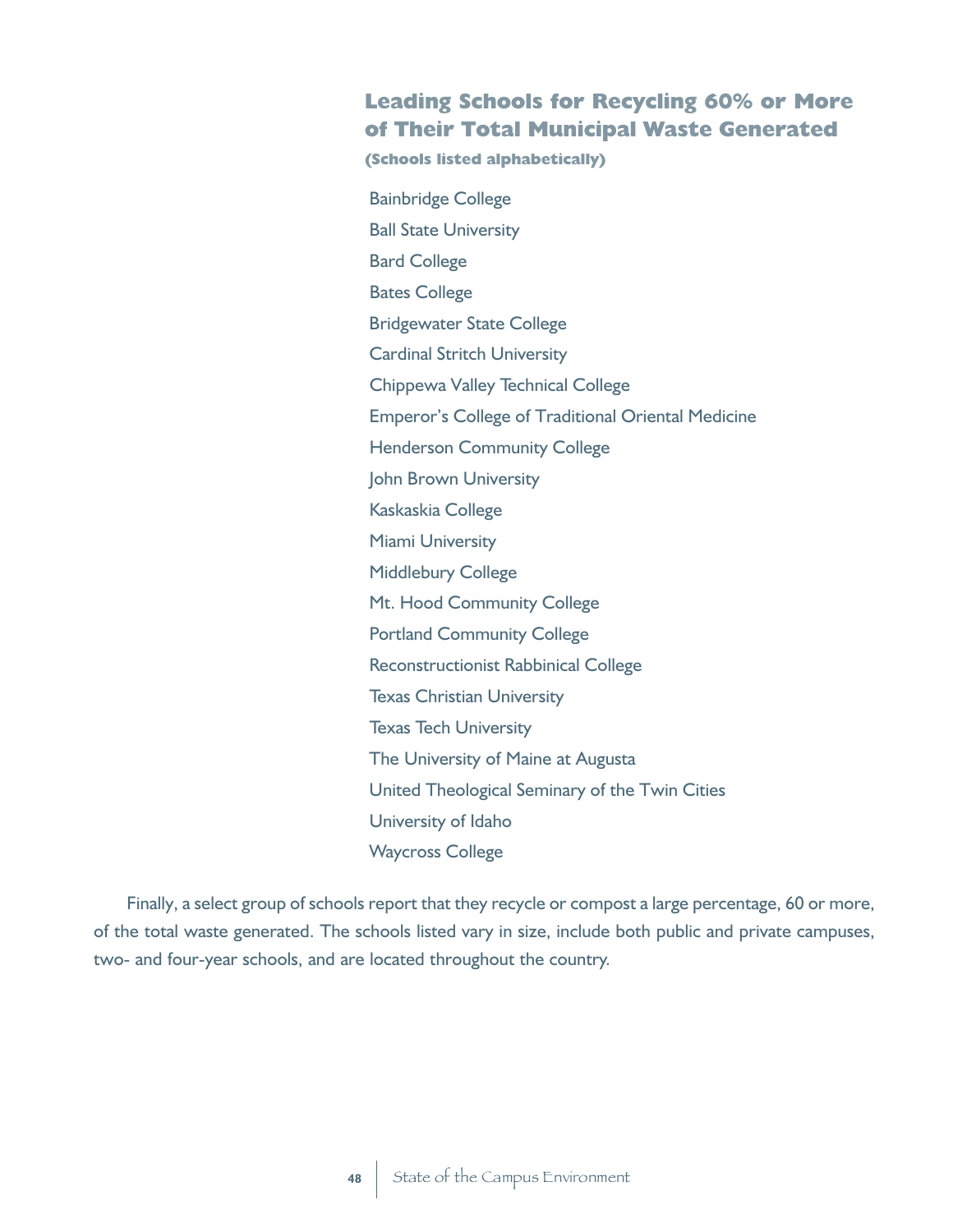#### **Leading Schools for Recycling 60% or More of Their Total Municipal Waste Generated**

**(Schools listed alphabetically)**

Bainbridge College Ball State University Bard College Bates College Bridgewater State College Cardinal Stritch University Chippewa Valley Technical College Emperor's College of Traditional Oriental Medicine Henderson Community College John Brown University Kaskaskia College Miami University Middlebury College Mt. Hood Community College Portland Community College Reconstructionist Rabbinical College Texas Christian University Texas Tech University The University of Maine at Augusta United Theological Seminary of the Twin Cities University of Idaho Waycross College

Finally, a select group of schools report that they recycle or compost a large percentage, 60 or more, of the total waste generated. The schools listed vary in size, include both public and private campuses, two- and four-year schools, and are located throughout the country.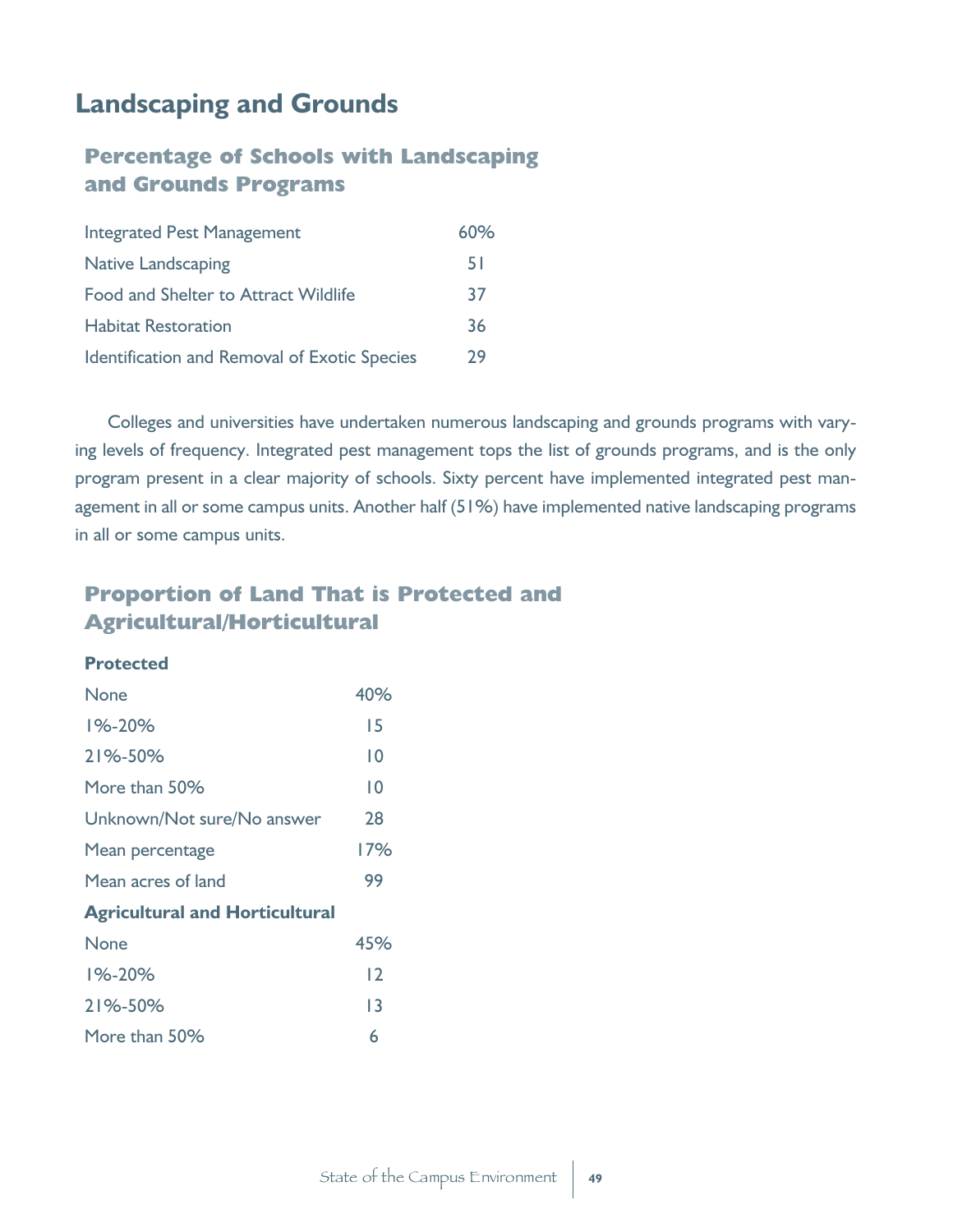## **Landscaping and Grounds**

#### **Percentage of Schools with Landscaping and Grounds Programs**

| <b>Integrated Pest Management</b>            | 60% |
|----------------------------------------------|-----|
| <b>Native Landscaping</b>                    | 5 I |
| <b>Food and Shelter to Attract Wildlife</b>  | 37  |
| <b>Habitat Restoration</b>                   | 36  |
| Identification and Removal of Exotic Species | 79  |

Colleges and universities have undertaken numerous landscaping and grounds programs with varying levels of frequency. Integrated pest management tops the list of grounds programs, and is the only program present in a clear majority of schools. Sixty percent have implemented integrated pest management in all or some campus units. Another half (51%) have implemented native landscaping programs in all or some campus units.

### **Proportion of Land That is Protected and Agricultural/Horticultural**

#### **Protected**

| None                                  | 40% |
|---------------------------------------|-----|
| 1%-20%                                | 15  |
| 21%-50%                               | 10  |
| More than 50%                         | 10  |
| Unknown/Not sure/No answer            | 28  |
| Mean percentage                       | 17% |
| Mean acres of land                    | 99  |
| <b>Agricultural and Horticultural</b> |     |
| None                                  | 45% |
| $1\% - 20\%$                          | 12  |
| 21%-50%                               | 13  |
| More than 50%                         | 6   |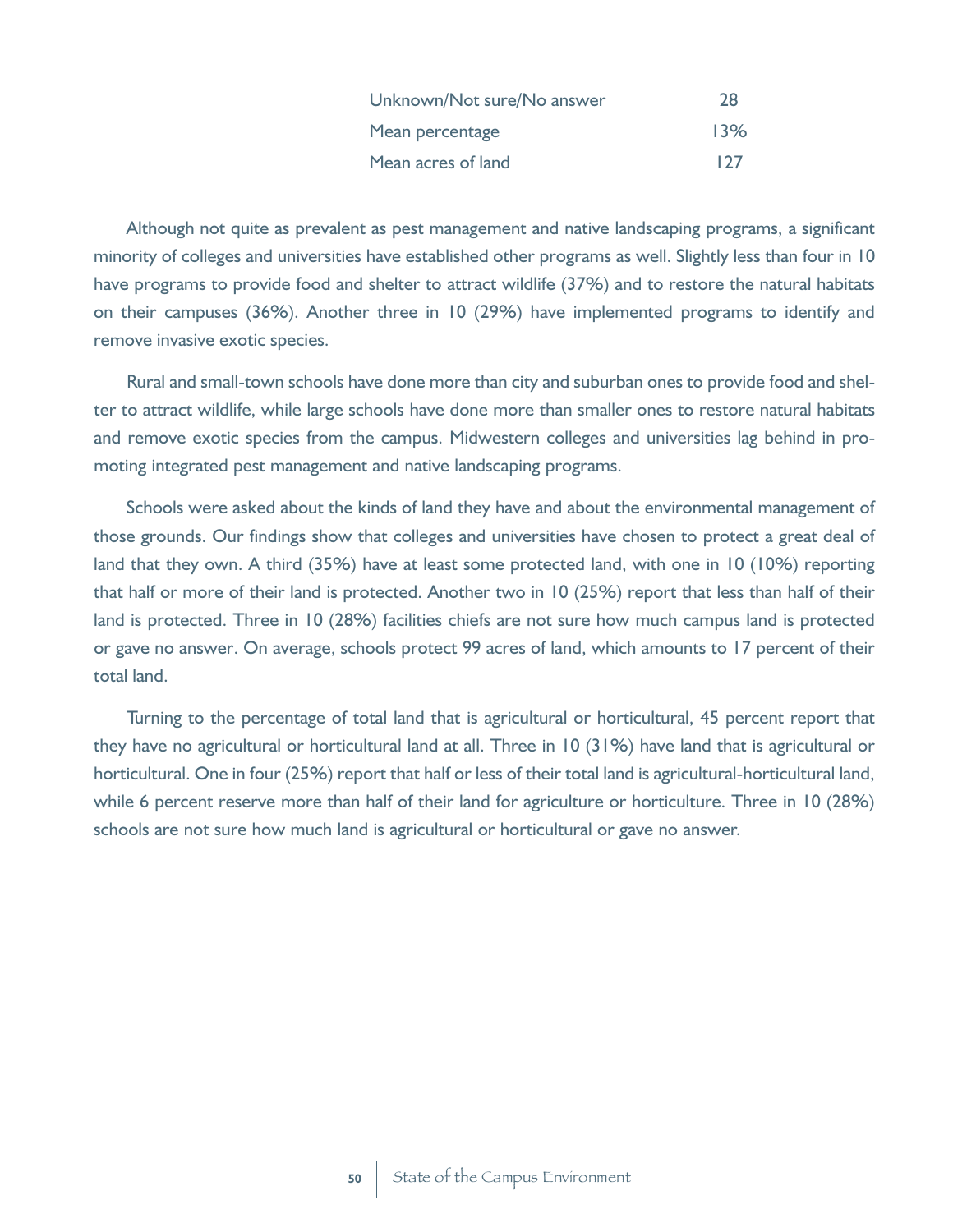| Unknown/Not sure/No answer | 28  |
|----------------------------|-----|
| Mean percentage            | 13% |
| Mean acres of land         | 127 |

Although not quite as prevalent as pest management and native landscaping programs, a significant minority of colleges and universities have established other programs as well. Slightly less than four in 10 have programs to provide food and shelter to attract wildlife (37%) and to restore the natural habitats on their campuses (36%). Another three in 10 (29%) have implemented programs to identify and remove invasive exotic species.

Rural and small-town schools have done more than city and suburban ones to provide food and shelter to attract wildlife, while large schools have done more than smaller ones to restore natural habitats and remove exotic species from the campus. Midwestern colleges and universities lag behind in promoting integrated pest management and native landscaping programs.

Schools were asked about the kinds of land they have and about the environmental management of those grounds. Our findings show that colleges and universities have chosen to protect a great deal of land that they own. A third (35%) have at least some protected land, with one in 10 (10%) reporting that half or more of their land is protected. Another two in 10 (25%) report that less than half of their land is protected. Three in 10 (28%) facilities chiefs are not sure how much campus land is protected or gave no answer. On average, schools protect 99 acres of land, which amounts to 17 percent of their total land.

Turning to the percentage of total land that is agricultural or horticultural, 45 percent report that they have no agricultural or horticultural land at all. Three in 10 (31%) have land that is agricultural or horticultural. One in four (25%) report that half or less of their total land is agricultural-horticultural land, while 6 percent reserve more than half of their land for agriculture or horticulture. Three in 10 (28%) schools are not sure how much land is agricultural or horticultural or gave no answer.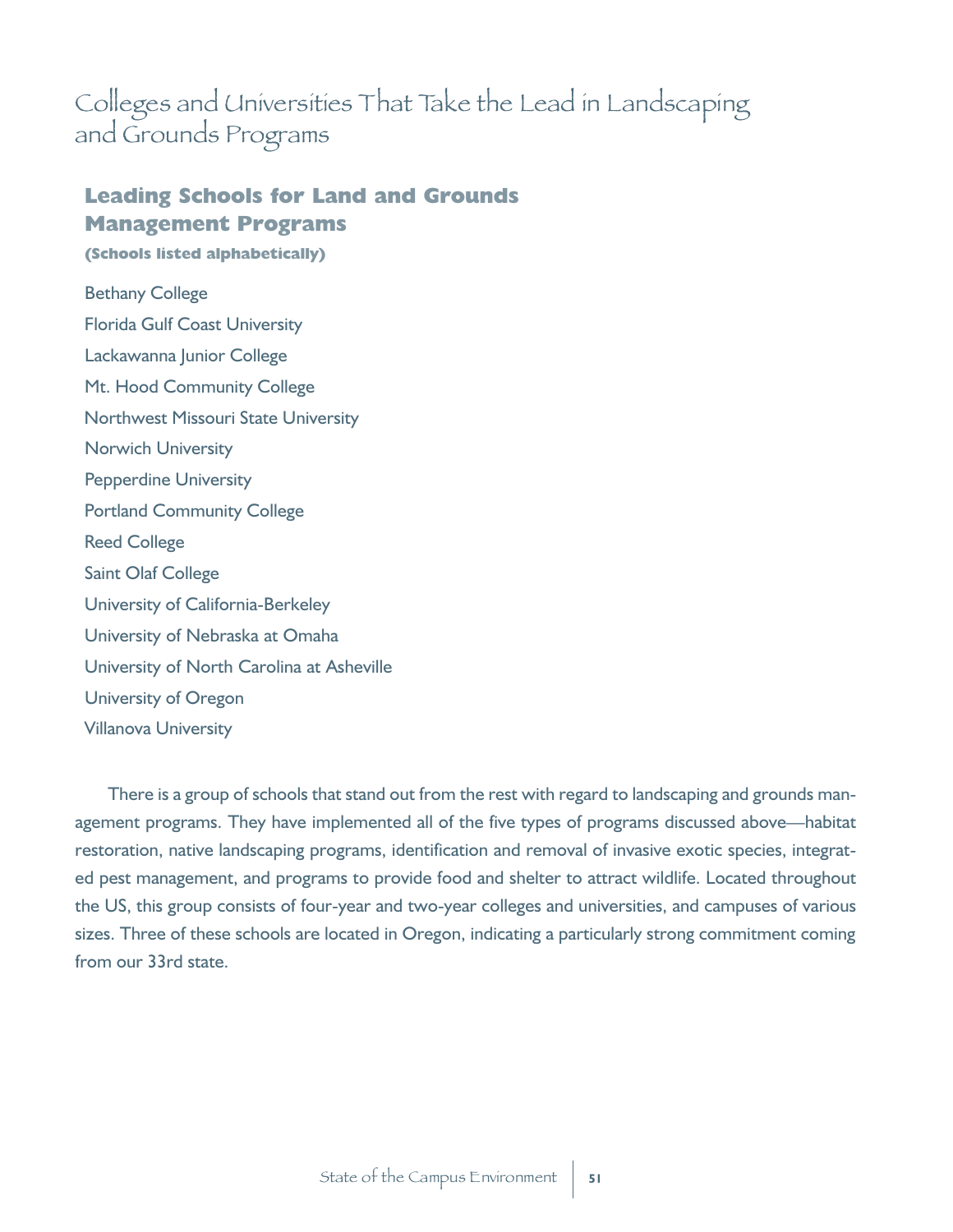## Colleges and Universities That Take the Lead in Landscaping and Grounds Programs

### **Leading Schools for Land and Grounds Management Programs**

**(Schools listed alphabetically)**

Bethany College Florida Gulf Coast University Lackawanna Junior College Mt. Hood Community College Northwest Missouri State University Norwich University Pepperdine University Portland Community College Reed College Saint Olaf College University of California-Berkeley University of Nebraska at Omaha University of North Carolina at Asheville University of Oregon Villanova University

There is a group of schools that stand out from the rest with regard to landscaping and grounds management programs. They have implemented all of the five types of programs discussed above—habitat restoration, native landscaping programs, identification and removal of invasive exotic species, integrated pest management, and programs to provide food and shelter to attract wildlife. Located throughout the US, this group consists of four-year and two-year colleges and universities, and campuses of various sizes. Three of these schools are located in Oregon, indicating a particularly strong commitment coming from our 33rd state.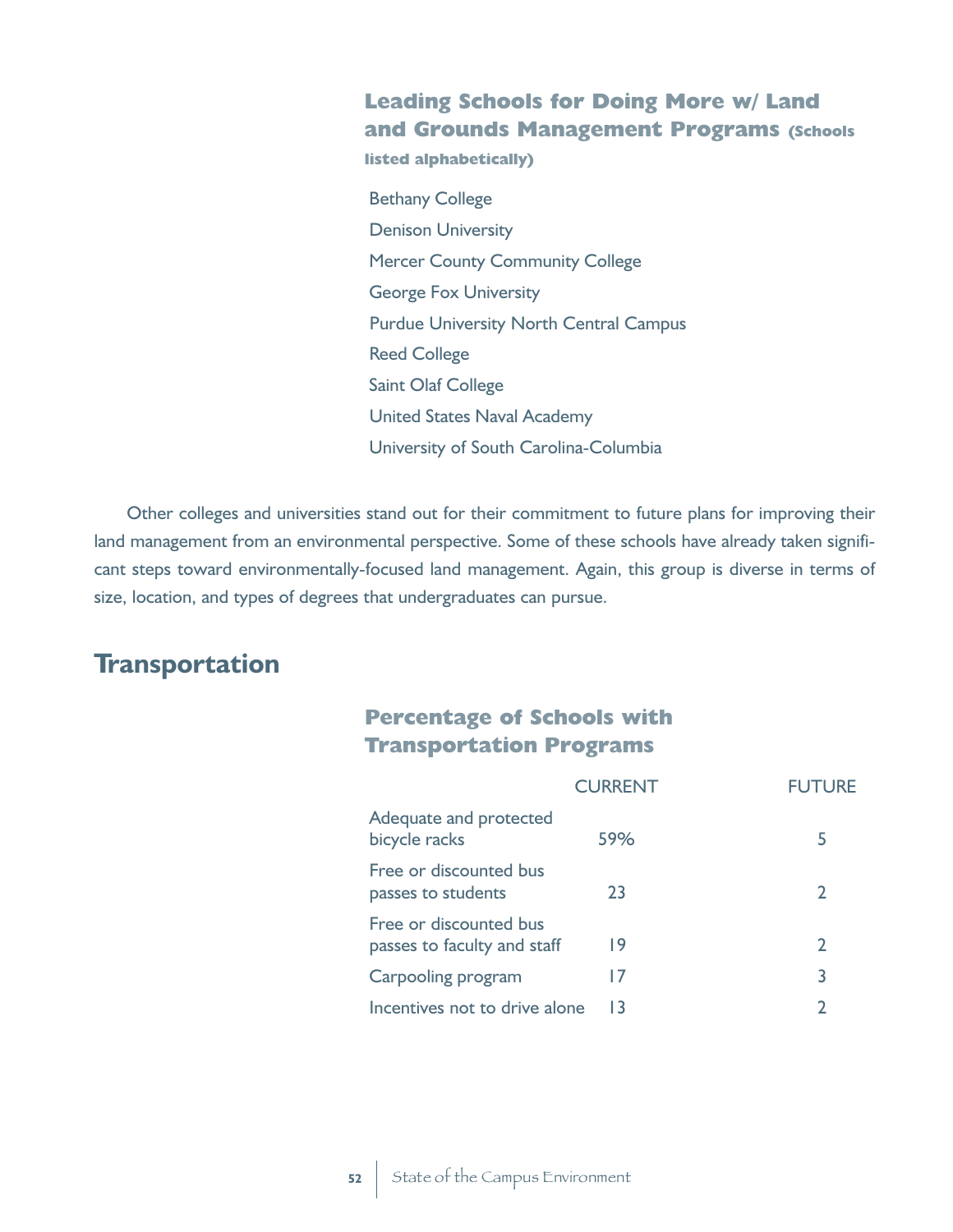#### **Leading Schools for Doing More w/ Land and Grounds Management Programs (Schools**

**listed alphabetically)**

Bethany College Denison University Mercer County Community College George Fox University Purdue University North Central Campus Reed College Saint Olaf College United States Naval Academy University of South Carolina-Columbia

Other colleges and universities stand out for their commitment to future plans for improving their land management from an environmental perspective. Some of these schools have already taken significant steps toward environmentally-focused land management. Again, this group is diverse in terms of size, location, and types of degrees that undergraduates can pursue.

### **Transportation**

#### **Percentage of Schools with Transportation Programs**

|                                                       | <b>CURRENT</b> | <b>FUTURE</b> |
|-------------------------------------------------------|----------------|---------------|
| Adequate and protected<br>bicycle racks               | 59%            | 5             |
| Free or discounted bus<br>passes to students          | 23             | 2             |
| Free or discounted bus<br>passes to faculty and staff | 19             | $\mathbf{2}$  |
| Carpooling program                                    | 17             | 3             |
| Incentives not to drive alone                         | 13             |               |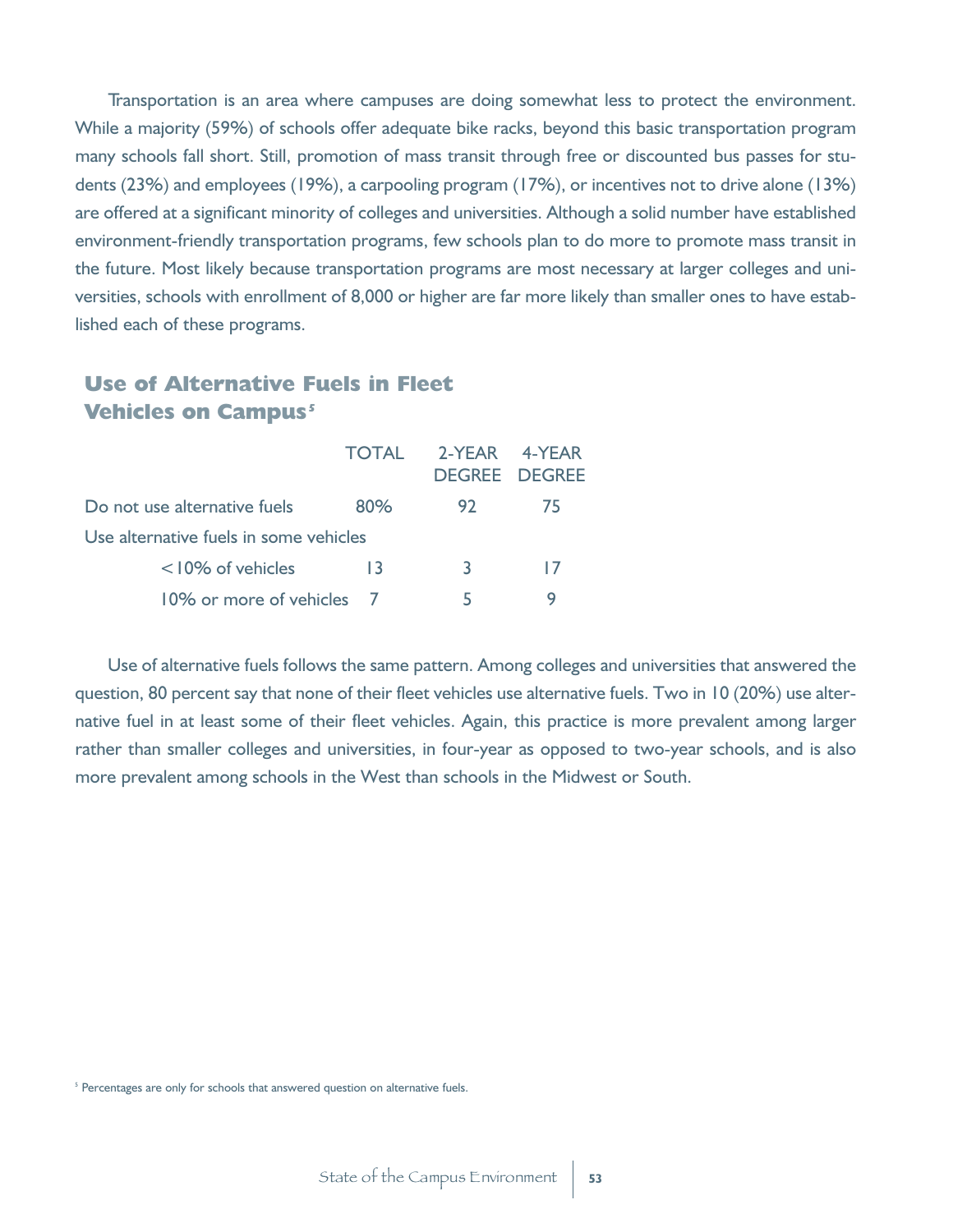Transportation is an area where campuses are doing somewhat less to protect the environment. While a majority (59%) of schools offer adequate bike racks, beyond this basic transportation program many schools fall short. Still, promotion of mass transit through free or discounted bus passes for students (23%) and employees (19%), a carpooling program (17%), or incentives not to drive alone (13%) are offered at a significant minority of colleges and universities. Although a solid number have established environment-friendly transportation programs, few schools plan to do more to promote mass transit in the future. Most likely because transportation programs are most necessary at larger colleges and universities, schools with enrollment of 8,000 or higher are far more likely than smaller ones to have established each of these programs.

#### **Use of Alternative Fuels in Fleet Vehicles on Campus**<sup>5</sup>

|                                        | TOTAL | 2-YEAR 4-YEAR<br>DEGREE DEGREE |    |
|----------------------------------------|-------|--------------------------------|----|
| Do not use alternative fuels           | 80%   | 92                             | 75 |
| Use alternative fuels in some vehicles |       |                                |    |
| $<$ 10% of vehicles                    | 13    | 3                              | 17 |
| 10% or more of vehicles 7              |       | ь                              |    |

Use of alternative fuels follows the same pattern. Among colleges and universities that answered the question, 80 percent say that none of their fleet vehicles use alternative fuels. Two in 10 (20%) use alternative fuel in at least some of their fleet vehicles. Again, this practice is more prevalent among larger rather than smaller colleges and universities, in four-year as opposed to two-year schools, and is also more prevalent among schools in the West than schools in the Midwest or South.

<sup>&</sup>lt;sup>5</sup> Percentages are only for schools that answered question on alternative fuels.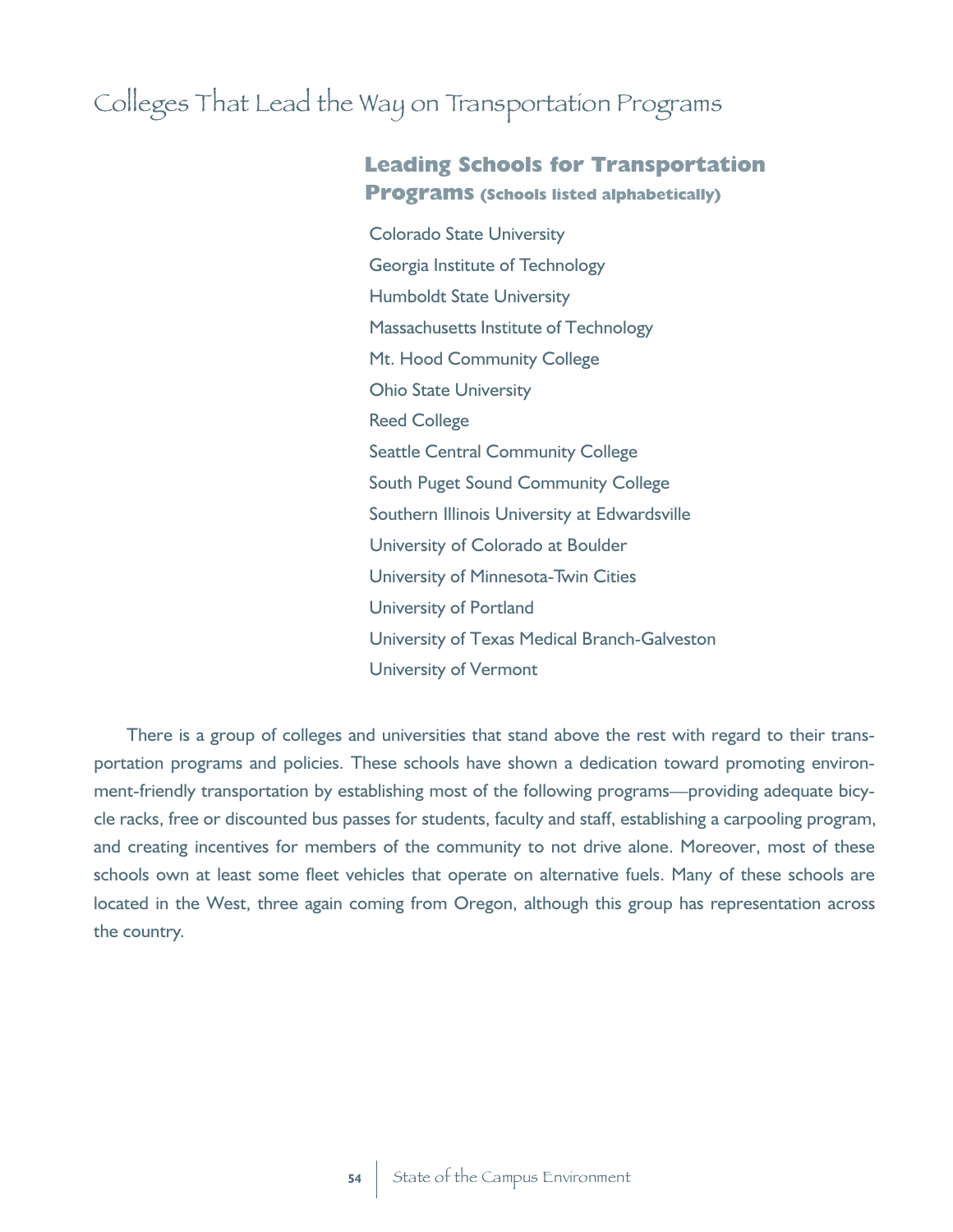# Colleges That Lead the Way on Transportation Programs

#### **Leading Schools for Transportation Programs (Schools listed alphabetically)**

Colorado State University Georgia Institute of Technology Humboldt State University Massachusetts Institute of Technology Mt. Hood Community College Ohio State University Reed College Seattle Central Community College South Puget Sound Community College Southern Illinois University at Edwardsville University of Colorado at Boulder University of Minnesota-Twin Cities University of Portland University of Texas Medical Branch-Galveston University of Vermont

There is a group of colleges and universities that stand above the rest with regard to their transportation programs and policies. These schools have shown a dedication toward promoting environment-friendly transportation by establishing most of the following programs—providing adequate bicycle racks, free or discounted bus passes for students, faculty and staff, establishing a carpooling program, and creating incentives for members of the community to not drive alone. Moreover, most of these schools own at least some fleet vehicles that operate on alternative fuels. Many of these schools are located in the West, three again coming from Oregon, although this group has representation across the country.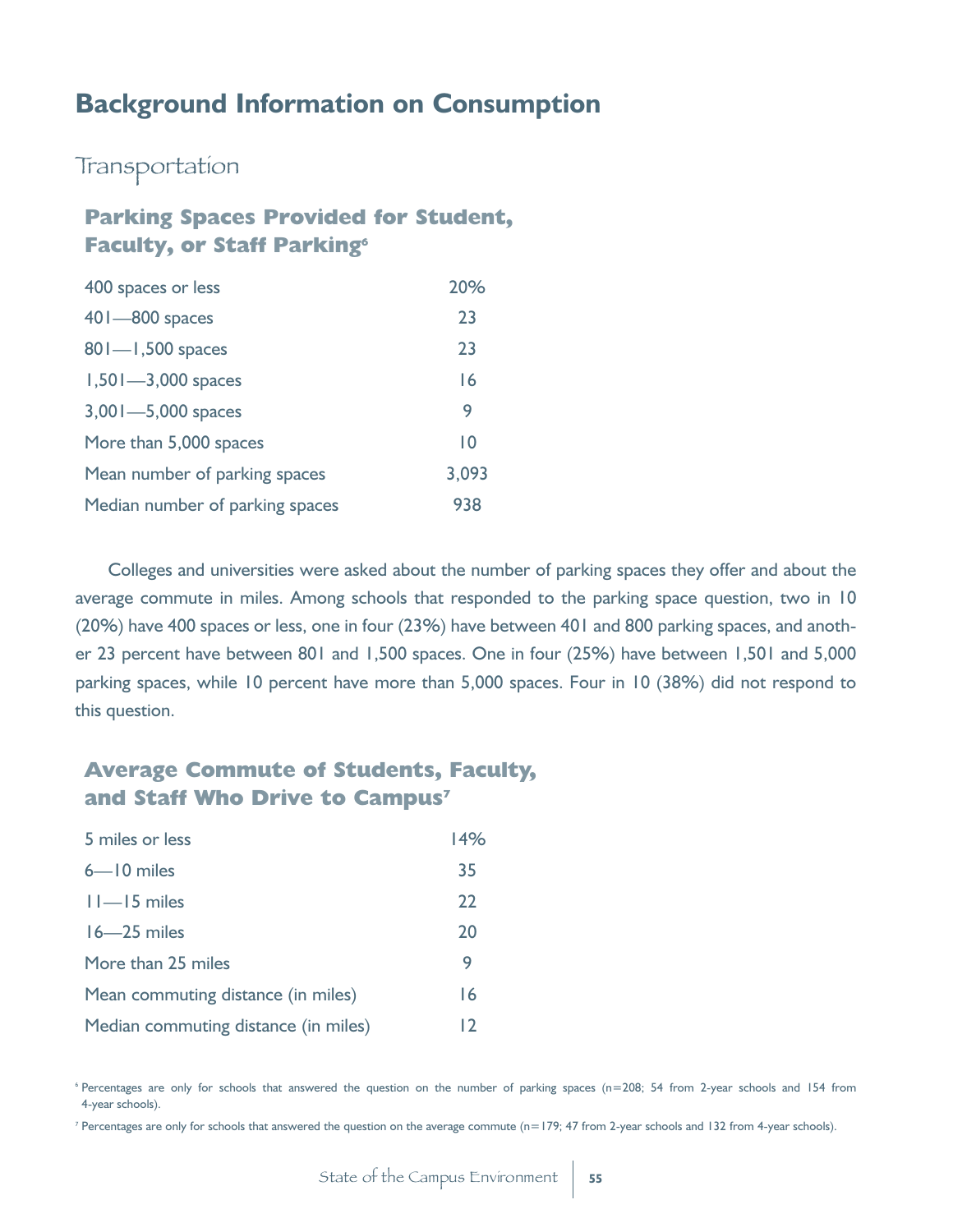### **Background Information on Consumption**

Transportation

#### **Parking Spaces Provided for Student, Faculty, or Staff Parking<sup>6</sup>**

| 400 spaces or less              | 20%   |
|---------------------------------|-------|
| $401 - 800$ spaces              | 23    |
| $801 - 1,500$ spaces            | 23    |
| $1,501 - 3,000$ spaces          | 16    |
| 3,001-5,000 spaces              | 9     |
| More than 5,000 spaces          | 10    |
| Mean number of parking spaces   | 3,093 |
| Median number of parking spaces | 938   |

Colleges and universities were asked about the number of parking spaces they offer and about the average commute in miles. Among schools that responded to the parking space question, two in 10 (20%) have 400 spaces or less, one in four (23%) have between 401 and 800 parking spaces, and another 23 percent have between 801 and 1,500 spaces. One in four (25%) have between 1,501 and 5,000 parking spaces, while 10 percent have more than 5,000 spaces. Four in 10 (38%) did not respond to this question.

#### **Average Commute of Students, Faculty, and Staff Who Drive to Campus<sup>7</sup>**

| 5 miles or less                      | 14% |
|--------------------------------------|-----|
| $6 - 10$ miles                       | 35  |
| $11 - 15$ miles                      | 22  |
| $16 - 25$ miles                      | 20  |
| More than 25 miles                   | 9   |
| Mean commuting distance (in miles)   | 16  |
| Median commuting distance (in miles) | 12  |

<sup>6</sup> Percentages are only for schools that answered the question on the number of parking spaces (n=208; 54 from 2-year schools and 154 from 4-year schools).

<sup>7</sup> Percentages are only for schools that answered the question on the average commute (n=179; 47 from 2-year schools and 132 from 4-year schools).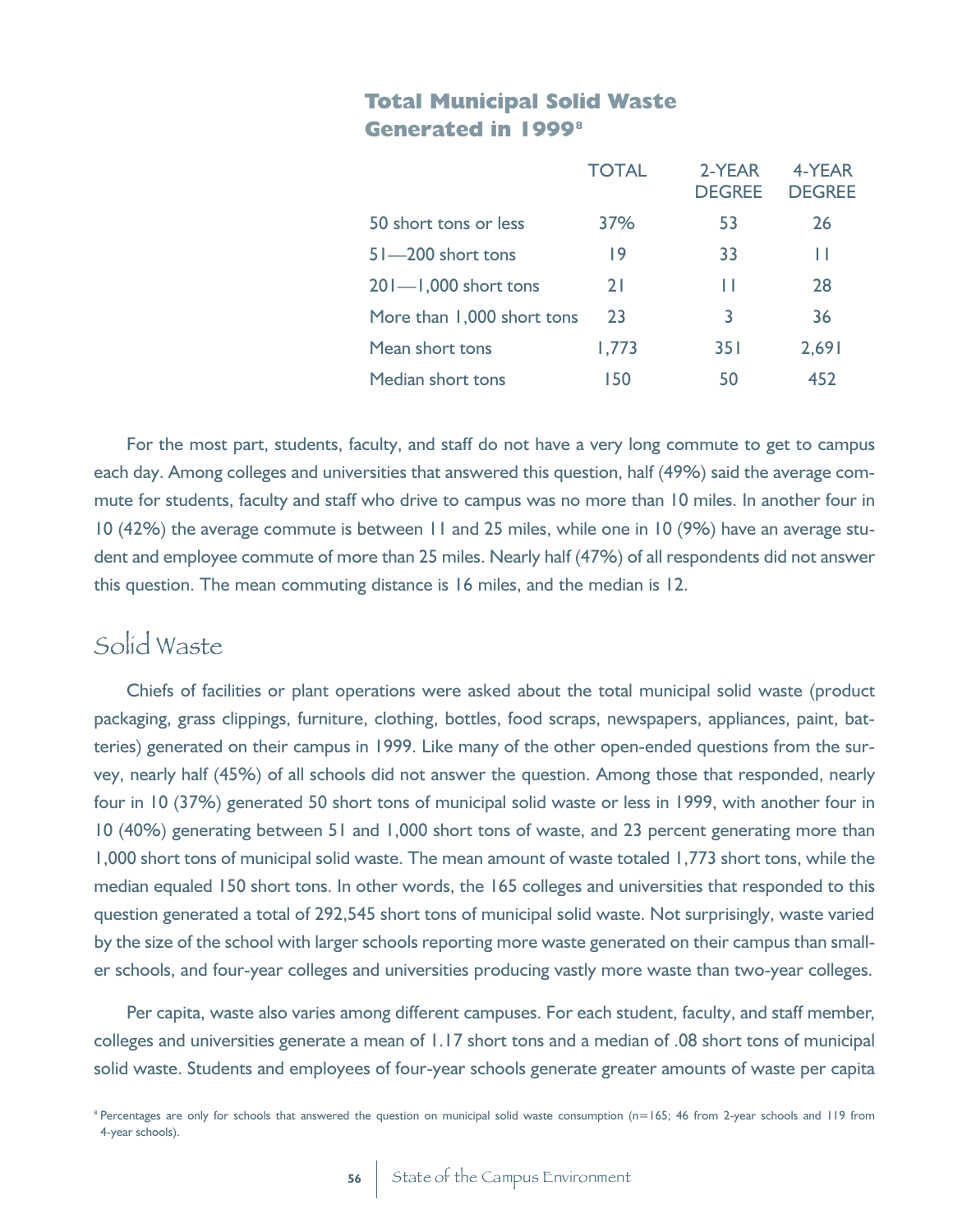#### **Total Municipal Solid Waste Generated in 1999<sup>8</sup>**

|                            | <b>TOTAL</b> | 2-YEAR<br><b>DEGREE</b> | 4-YEAR<br><b>DEGREE</b> |
|----------------------------|--------------|-------------------------|-------------------------|
| 50 short tons or less      | 37%          | 53                      | 26                      |
| $51 - 200$ short tons      | 9            | 33                      | Н                       |
| $201 - 1,000$ short tons   | 21           | ш                       | 28                      |
| More than 1,000 short tons | 23           | 3                       | 36                      |
| Mean short tons            | 1,773        | 35 I                    | 2,691                   |
| Median short tons          | 150          | 50                      | 452                     |

For the most part, students, faculty, and staff do not have a very long commute to get to campus each day. Among colleges and universities that answered this question, half (49%) said the average commute for students, faculty and staff who drive to campus was no more than 10 miles. In another four in 10 (42%) the average commute is between 11 and 25 miles, while one in 10 (9%) have an average student and employee commute of more than 25 miles. Nearly half (47%) of all respondents did not answer this question. The mean commuting distance is 16 miles, and the median is 12.

## Solid Waste

Chiefs of facilities or plant operations were asked about the total municipal solid waste (product packaging, grass clippings, furniture, clothing, bottles, food scraps, newspapers, appliances, paint, batteries) generated on their campus in 1999. Like many of the other open-ended questions from the survey, nearly half (45%) of all schools did not answer the question. Among those that responded, nearly four in 10 (37%) generated 50 short tons of municipal solid waste or less in 1999, with another four in 10 (40%) generating between 51 and 1,000 short tons of waste, and 23 percent generating more than 1,000 short tons of municipal solid waste. The mean amount of waste totaled 1,773 short tons, while the median equaled 150 short tons. In other words, the 165 colleges and universities that responded to this question generated a total of 292,545 short tons of municipal solid waste. Not surprisingly, waste varied by the size of the school with larger schools reporting more waste generated on their campus than smaller schools, and four-year colleges and universities producing vastly more waste than two-year colleges.

Per capita, waste also varies among different campuses. For each student, faculty, and staff member, colleges and universities generate a mean of 1.17 short tons and a median of .08 short tons of municipal solid waste. Students and employees of four-year schools generate greater amounts of waste per capita

<sup>&</sup>lt;sup>8</sup> Percentages are only for schools that answered the question on municipal solid waste consumption (n=165; 46 from 2-year schools and 119 from 4-year schools).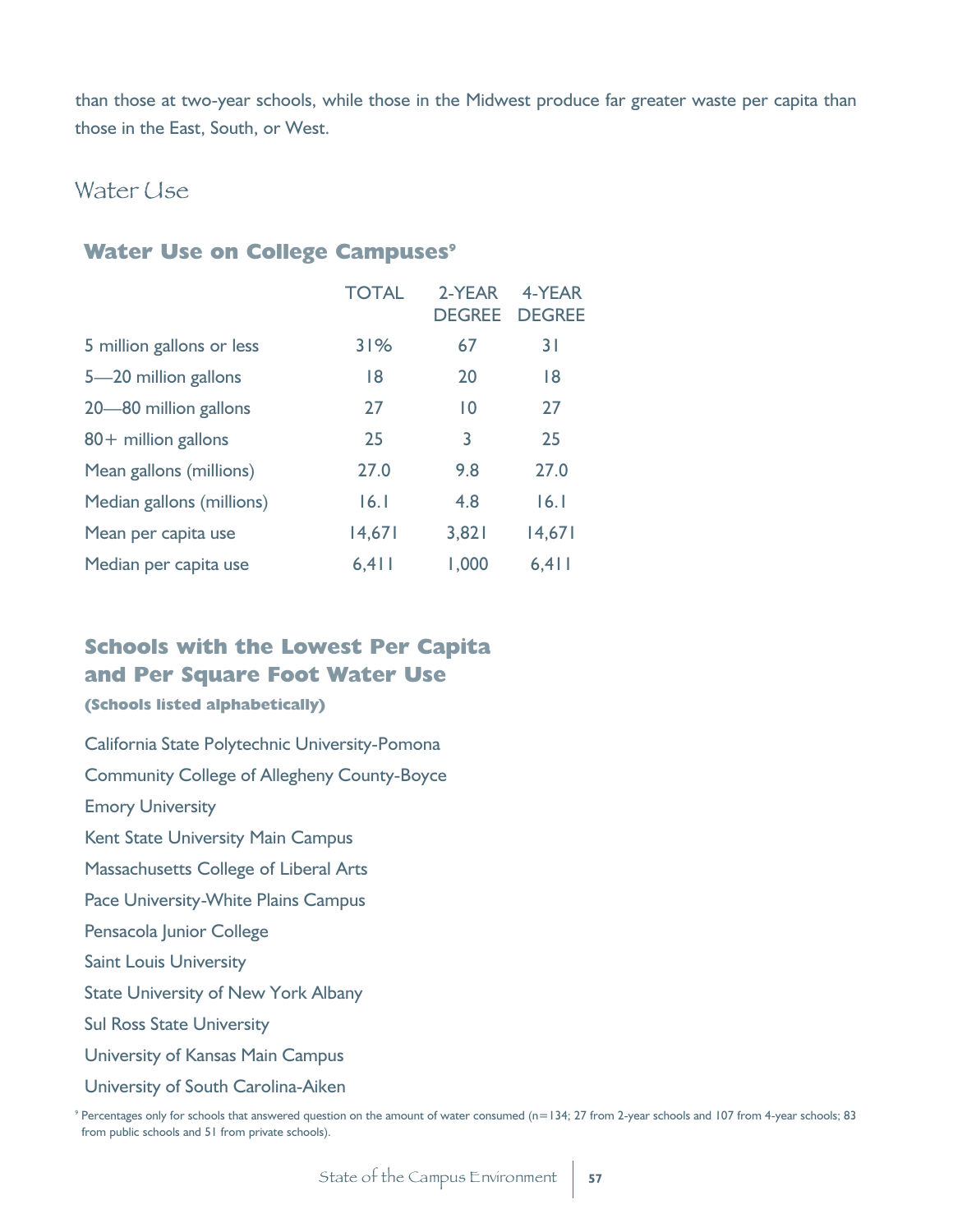than those at two-year schools, while those in the Midwest produce far greater waste per capita than those in the East, South, or West.

#### Water Use

#### **Water Use on College Campuses<sup>9</sup>**

|                           | <b>TOTAL</b> | 2-YEAR<br><b>DEGREE</b> | 4-YEAR<br><b>DEGREE</b> |
|---------------------------|--------------|-------------------------|-------------------------|
| 5 million gallons or less | 31%          | 67                      | 31                      |
| 5-20 million gallons      | 18           | 20                      | 18                      |
| 20-80 million gallons     | 27           | $\overline{10}$         | 27                      |
| 80+ million gallons       | 25           | 3                       | 25                      |
| Mean gallons (millions)   | 27.0         | 9.8                     | 27.0                    |
| Median gallons (millions) | 16.1         | 4.8                     | 16.1                    |
| Mean per capita use       | 14,671       | 3,821                   | 14,671                  |
| Median per capita use     | 6, 411       | 1,000                   | 6, 411                  |

#### **Schools with the Lowest Per Capita and Per Square Foot Water Use**

#### **(Schools listed alphabetically)**

California State Polytechnic University-Pomona

Community College of Allegheny County-Boyce

Emory University

Kent State University Main Campus

Massachusetts College of Liberal Arts

Pace University-White Plains Campus

Pensacola Junior College

Saint Louis University

State University of New York Albany

Sul Ross State University

University of Kansas Main Campus

University of South Carolina-Aiken

<sup>9</sup> Percentages only for schools that answered question on the amount of water consumed (n=134; 27 from 2-year schools and 107 from 4-year schools; 83 from public schools and 51 from private schools).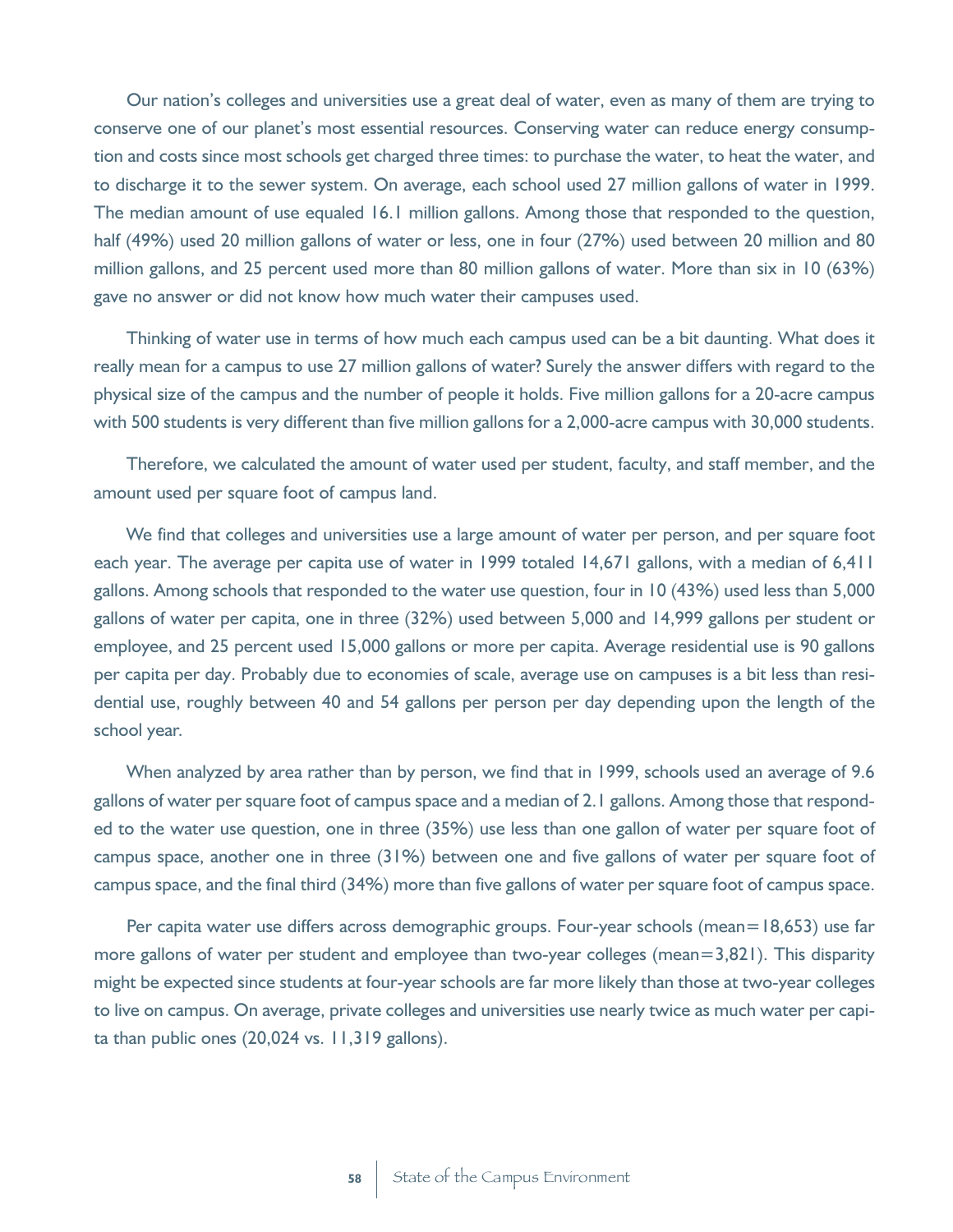Our nation's colleges and universities use a great deal of water, even as many of them are trying to conserve one of our planet's most essential resources. Conserving water can reduce energy consumption and costs since most schools get charged three times: to purchase the water, to heat the water, and to discharge it to the sewer system. On average, each school used 27 million gallons of water in 1999. The median amount of use equaled 16.1 million gallons. Among those that responded to the question, half (49%) used 20 million gallons of water or less, one in four (27%) used between 20 million and 80 million gallons, and 25 percent used more than 80 million gallons of water. More than six in 10 (63%) gave no answer or did not know how much water their campuses used.

Thinking of water use in terms of how much each campus used can be a bit daunting. What does it really mean for a campus to use 27 million gallons of water? Surely the answer differs with regard to the physical size of the campus and the number of people it holds. Five million gallons for a 20-acre campus with 500 students is very different than five million gallons for a 2,000-acre campus with 30,000 students.

Therefore, we calculated the amount of water used per student, faculty, and staff member, and the amount used per square foot of campus land.

We find that colleges and universities use a large amount of water per person, and per square foot each year. The average per capita use of water in 1999 totaled 14,671 gallons, with a median of 6,411 gallons. Among schools that responded to the water use question, four in 10 (43%) used less than 5,000 gallons of water per capita, one in three (32%) used between 5,000 and 14,999 gallons per student or employee, and 25 percent used 15,000 gallons or more per capita. Average residential use is 90 gallons per capita per day. Probably due to economies of scale, average use on campuses is a bit less than residential use, roughly between 40 and 54 gallons per person per day depending upon the length of the school year.

When analyzed by area rather than by person, we find that in 1999, schools used an average of 9.6 gallons of water per square foot of campus space and a median of 2.1 gallons. Among those that responded to the water use question, one in three (35%) use less than one gallon of water per square foot of campus space, another one in three (31%) between one and five gallons of water per square foot of campus space, and the final third (34%) more than five gallons of water per square foot of campus space.

Per capita water use differs across demographic groups. Four-year schools (mean=18,653) use far more gallons of water per student and employee than two-year colleges (mean=3,821). This disparity might be expected since students at four-year schools are far more likely than those at two-year colleges to live on campus. On average, private colleges and universities use nearly twice as much water per capita than public ones (20,024 vs. 11,319 gallons).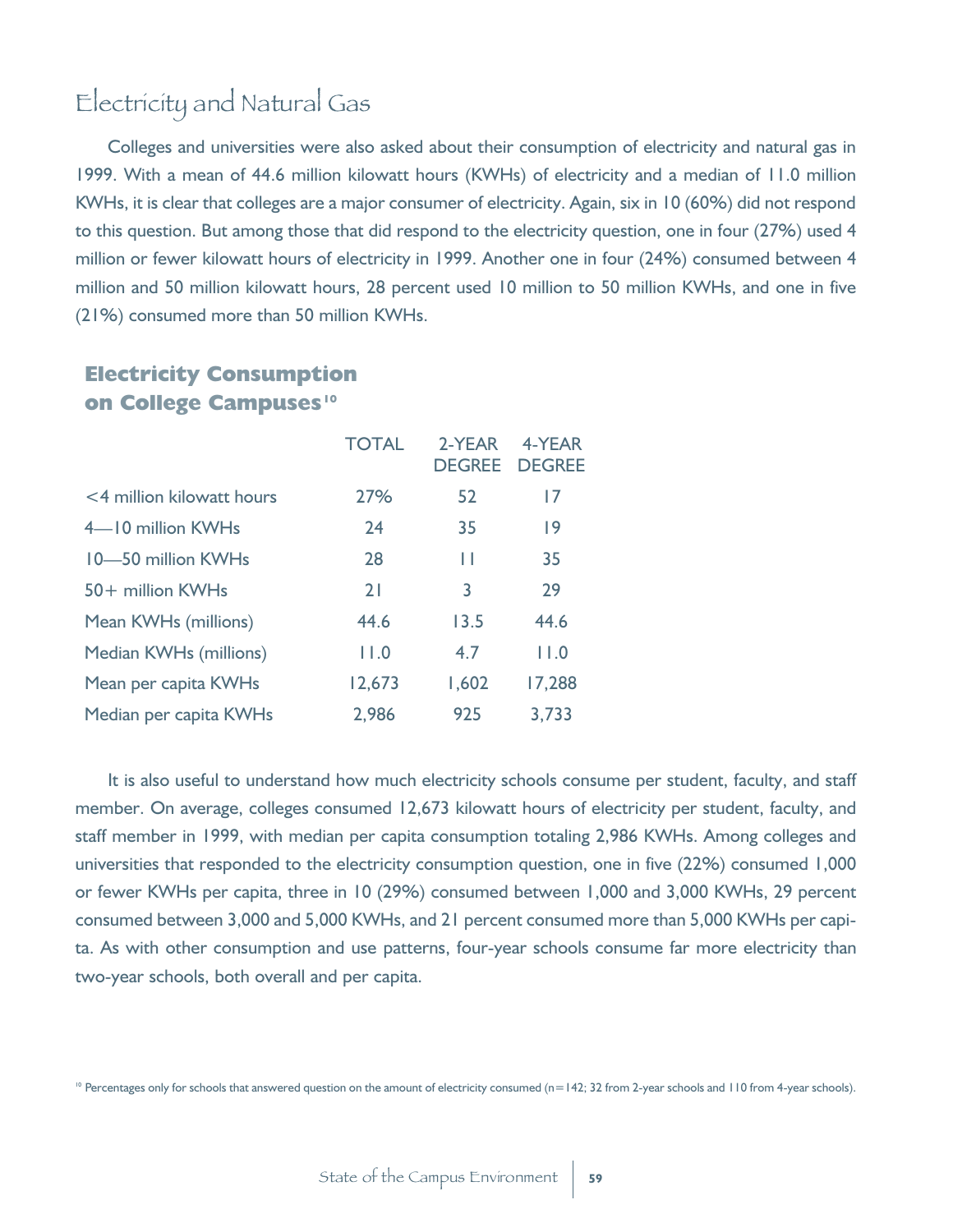# Electricity and Natural Gas

Colleges and universities were also asked about their consumption of electricity and natural gas in 1999. With a mean of 44.6 million kilowatt hours (KWHs) of electricity and a median of 11.0 million KWHs, it is clear that colleges are a major consumer of electricity. Again, six in 10 (60%) did not respond to this question. But among those that did respond to the electricity question, one in four (27%) used 4 million or fewer kilowatt hours of electricity in 1999. Another one in four (24%) consumed between 4 million and 50 million kilowatt hours, 28 percent used 10 million to 50 million KWHs, and one in five (21%) consumed more than 50 million KWHs.

#### **Electricity Consumption on College Campuses<sup>10</sup>**

|                           | <b>TOTAL</b> | 2-YEAR<br><b>DEGREE</b> | 4-YEAR<br><b>DEGREE</b> |
|---------------------------|--------------|-------------------------|-------------------------|
| <4 million kilowatt hours | 27%          | 52                      | 17                      |
| 4-IO million KWHs         | 24           | 35                      | 9                       |
| 10-50 million KWHs        | 28           | П                       | 35                      |
| 50+ million KWHs          | 21           | 3                       | 29                      |
| Mean KWHs (millions)      | 44.6         | 13.5                    | 44.6                    |
| Median KWHs (millions)    | 11.0         | 4.7                     | 11.0                    |
| Mean per capita KWHs      | 12,673       | 1,602                   | 17,288                  |
| Median per capita KWHs    | 2,986        | 925                     | 3.733                   |

It is also useful to understand how much electricity schools consume per student, faculty, and staff member. On average, colleges consumed 12,673 kilowatt hours of electricity per student, faculty, and staff member in 1999, with median per capita consumption totaling 2,986 KWHs. Among colleges and universities that responded to the electricity consumption question, one in five (22%) consumed 1,000 or fewer KWHs per capita, three in 10 (29%) consumed between 1,000 and 3,000 KWHs, 29 percent consumed between 3,000 and 5,000 KWHs, and 21 percent consumed more than 5,000 KWHs per capita. As with other consumption and use patterns, four-year schools consume far more electricity than two-year schools, both overall and per capita.

<sup>10</sup> Percentages only for schools that answered question on the amount of electricity consumed (n=142; 32 from 2-year schools and 110 from 4-year schools).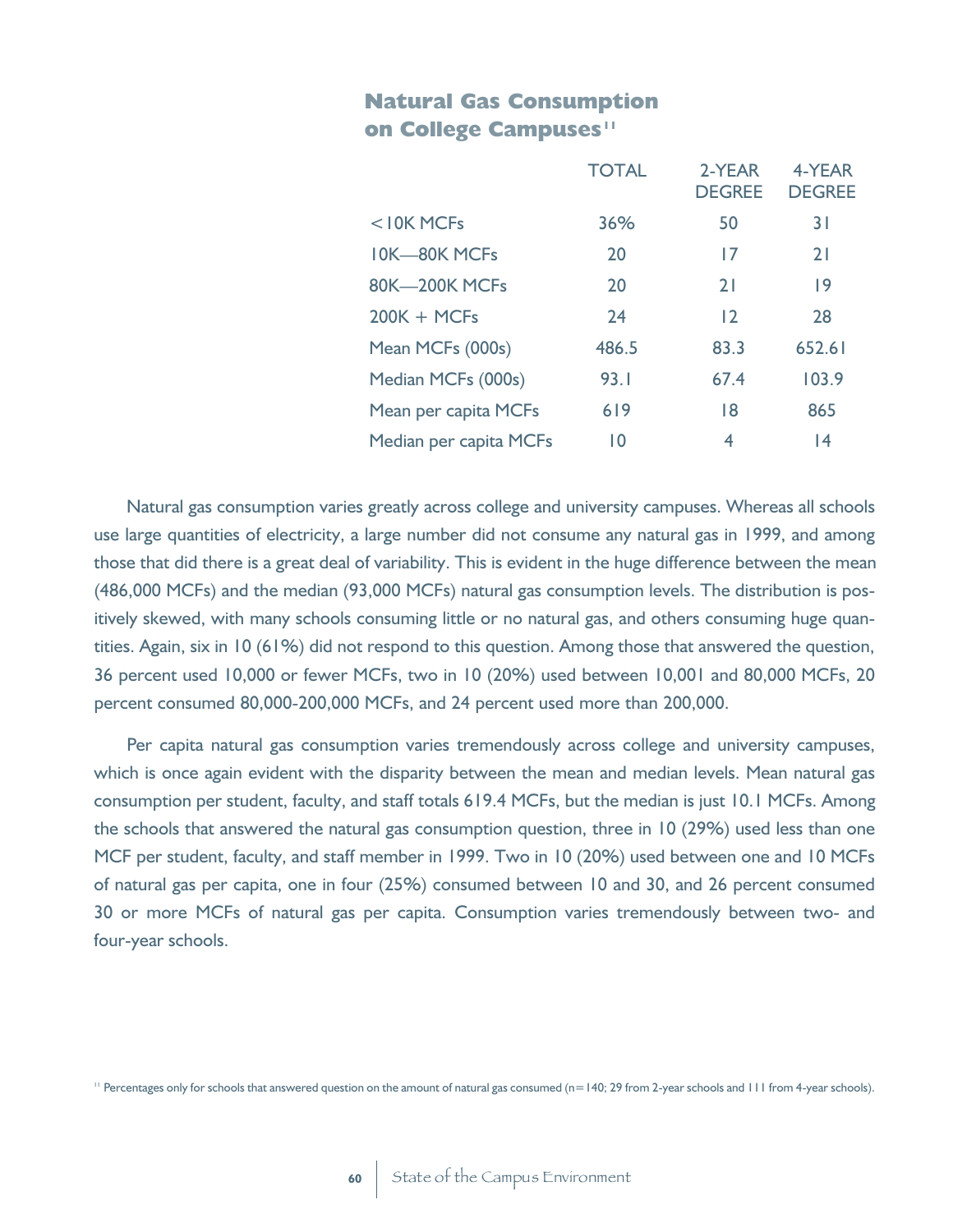#### **Natural Gas Consumption on College Campuses<sup>11</sup>**

|                        | <b>TOTAL</b> | 2-YEAR<br><b>DEGREE</b> | 4-YEAR<br><b>DEGREE</b> |
|------------------------|--------------|-------------------------|-------------------------|
| $<$ 10K MCFs           | 36%          | 50                      | 31                      |
| <b>IOK-80K MCFs</b>    | 20           | 17                      | 21                      |
| <b>80K-200K MCFs</b>   | 20           | 21                      | 9                       |
| $200K + MCFs$          | 24           | 12                      | 28                      |
| Mean MCFs (000s)       | 486.5        | 83.3                    | 652.61                  |
| Median MCFs (000s)     | 93.1         | 67.4                    | 103.9                   |
| Mean per capita MCFs   | 619          | 18                      | 865                     |
| Median per capita MCFs | 10           | 4                       | 4                       |

Natural gas consumption varies greatly across college and university campuses. Whereas all schools use large quantities of electricity, a large number did not consume any natural gas in 1999, and among those that did there is a great deal of variability. This is evident in the huge difference between the mean (486,000 MCFs) and the median (93,000 MCFs) natural gas consumption levels. The distribution is positively skewed, with many schools consuming little or no natural gas, and others consuming huge quantities. Again, six in 10 (61%) did not respond to this question. Among those that answered the question, 36 percent used 10,000 or fewer MCFs, two in 10 (20%) used between 10,001 and 80,000 MCFs, 20 percent consumed 80,000-200,000 MCFs, and 24 percent used more than 200,000.

Per capita natural gas consumption varies tremendously across college and university campuses, which is once again evident with the disparity between the mean and median levels. Mean natural gas consumption per student, faculty, and staff totals 619.4 MCFs, but the median is just 10.1 MCFs. Among the schools that answered the natural gas consumption question, three in 10 (29%) used less than one MCF per student, faculty, and staff member in 1999. Two in 10 (20%) used between one and 10 MCFs of natural gas per capita, one in four (25%) consumed between 10 and 30, and 26 percent consumed 30 or more MCFs of natural gas per capita. Consumption varies tremendously between two- and four-year schools.

<sup>11</sup> Percentages only for schools that answered question on the amount of natural gas consumed (n=140; 29 from 2-year schools and 111 from 4-year schools).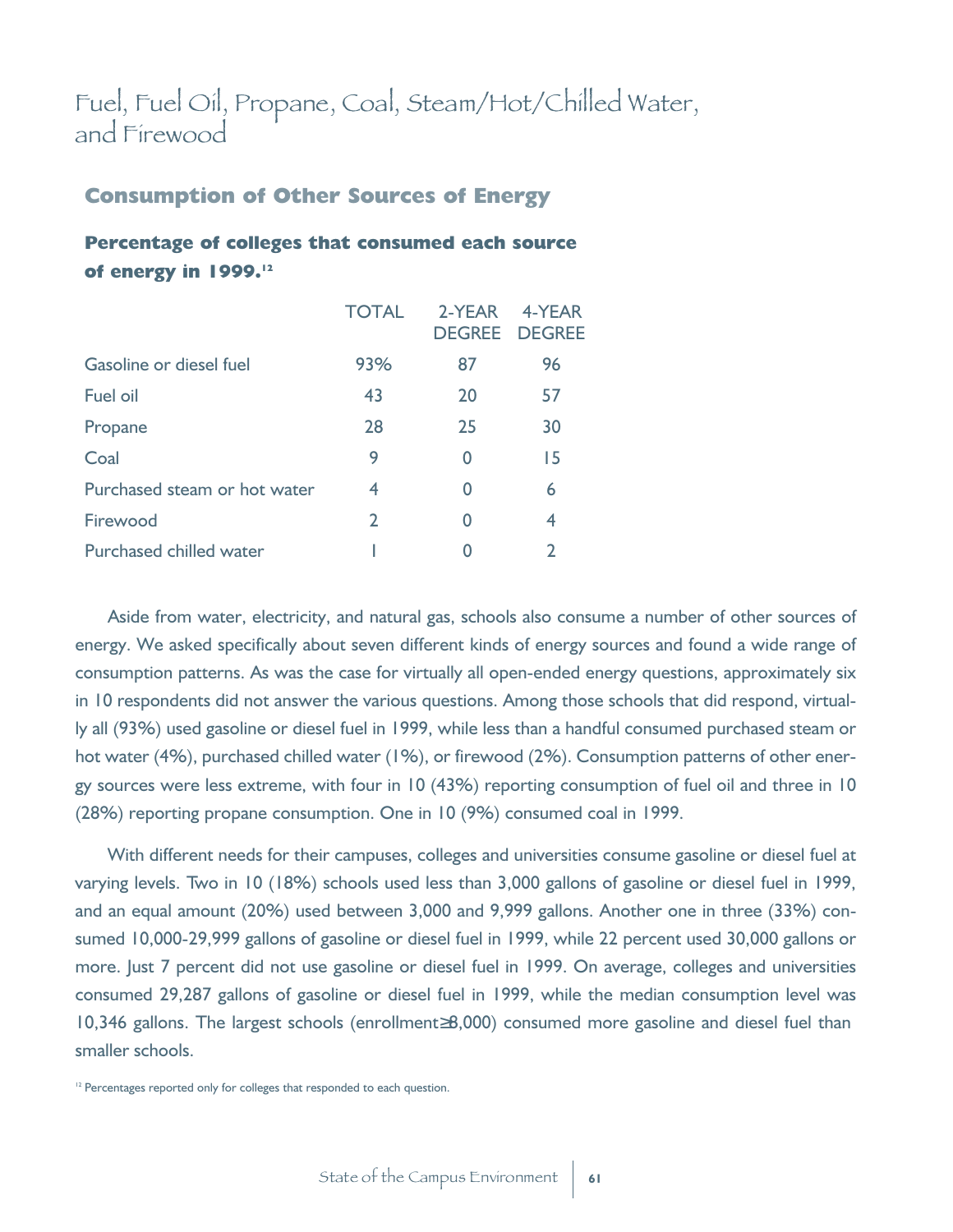## Fuel, Fuel Oil, Propane, Coal, Steam/Hot/Chilled Water, and Firewood

#### **Consumption of Other Sources of Energy**

#### **Percentage of colleges that consumed each source of energy in 1999.<sup>12</sup>**

|                              | <b>TOTAL</b>   | 2-YFAR | 4-YFAR<br><b>DEGREE DEGREE</b> |
|------------------------------|----------------|--------|--------------------------------|
| Gasoline or diesel fuel      | 93%            | 87     | 96                             |
| <b>Fuel oil</b>              | 43             | 20     | 57                             |
| Propane                      | 28             | 25     | 30                             |
| Coal                         | 9              | 0      | 15                             |
| Purchased steam or hot water | 4              | 0      | 6                              |
| Firewood                     | $\overline{2}$ |        | 4                              |
| Purchased chilled water      |                |        | $\mathcal{P}$                  |

Aside from water, electricity, and natural gas, schools also consume a number of other sources of energy. We asked specifically about seven different kinds of energy sources and found a wide range of consumption patterns. As was the case for virtually all open-ended energy questions, approximately six in 10 respondents did not answer the various questions. Among those schools that did respond, virtually all (93%) used gasoline or diesel fuel in 1999, while less than a handful consumed purchased steam or hot water (4%), purchased chilled water (1%), or firewood (2%). Consumption patterns of other energy sources were less extreme, with four in 10 (43%) reporting consumption of fuel oil and three in 10 (28%) reporting propane consumption. One in 10 (9%) consumed coal in 1999.

With different needs for their campuses, colleges and universities consume gasoline or diesel fuel at varying levels. Two in 10 (18%) schools used less than 3,000 gallons of gasoline or diesel fuel in 1999, and an equal amount (20%) used between 3,000 and 9,999 gallons. Another one in three (33%) consumed 10,000-29,999 gallons of gasoline or diesel fuel in 1999, while 22 percent used 30,000 gallons or more. Just 7 percent did not use gasoline or diesel fuel in 1999. On average, colleges and universities consumed 29,287 gallons of gasoline or diesel fuel in 1999, while the median consumption level was 10,346 gallons. The largest schools (enrollment 8,000) consumed more gasoline and diesel fuel than smaller schools.

<sup>&</sup>lt;sup>12</sup> Percentages reported only for colleges that responded to each question.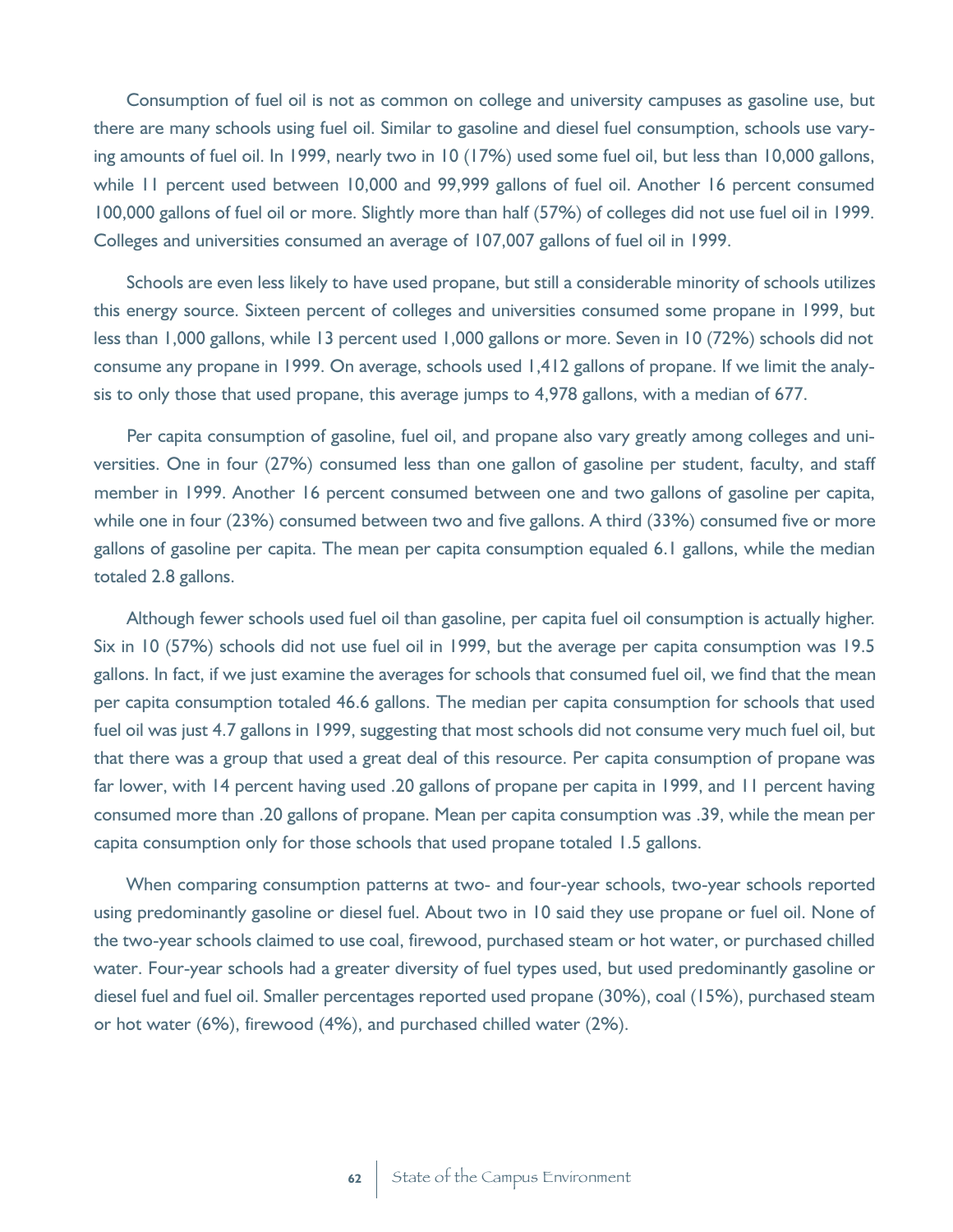Consumption of fuel oil is not as common on college and university campuses as gasoline use, but there are many schools using fuel oil. Similar to gasoline and diesel fuel consumption, schools use varying amounts of fuel oil. In 1999, nearly two in 10 (17%) used some fuel oil, but less than 10,000 gallons, while 11 percent used between 10,000 and 99,999 gallons of fuel oil. Another 16 percent consumed 100,000 gallons of fuel oil or more. Slightly more than half (57%) of colleges did not use fuel oil in 1999. Colleges and universities consumed an average of 107,007 gallons of fuel oil in 1999.

Schools are even less likely to have used propane, but still a considerable minority of schools utilizes this energy source. Sixteen percent of colleges and universities consumed some propane in 1999, but less than 1,000 gallons, while 13 percent used 1,000 gallons or more. Seven in 10 (72%) schools did not consume any propane in 1999. On average, schools used 1,412 gallons of propane. If we limit the analysis to only those that used propane, this average jumps to 4,978 gallons, with a median of 677.

Per capita consumption of gasoline, fuel oil, and propane also vary greatly among colleges and universities. One in four (27%) consumed less than one gallon of gasoline per student, faculty, and staff member in 1999. Another 16 percent consumed between one and two gallons of gasoline per capita, while one in four (23%) consumed between two and five gallons. A third (33%) consumed five or more gallons of gasoline per capita. The mean per capita consumption equaled 6.1 gallons, while the median totaled 2.8 gallons.

Although fewer schools used fuel oil than gasoline, per capita fuel oil consumption is actually higher. Six in 10 (57%) schools did not use fuel oil in 1999, but the average per capita consumption was 19.5 gallons. In fact, if we just examine the averages for schools that consumed fuel oil, we find that the mean per capita consumption totaled 46.6 gallons. The median per capita consumption for schools that used fuel oil was just 4.7 gallons in 1999, suggesting that most schools did not consume very much fuel oil, but that there was a group that used a great deal of this resource. Per capita consumption of propane was far lower, with 14 percent having used .20 gallons of propane per capita in 1999, and 11 percent having consumed more than .20 gallons of propane. Mean per capita consumption was .39, while the mean per capita consumption only for those schools that used propane totaled 1.5 gallons.

When comparing consumption patterns at two- and four-year schools, two-year schools reported using predominantly gasoline or diesel fuel. About two in 10 said they use propane or fuel oil. None of the two-year schools claimed to use coal, firewood, purchased steam or hot water, or purchased chilled water. Four-year schools had a greater diversity of fuel types used, but used predominantly gasoline or diesel fuel and fuel oil. Smaller percentages reported used propane (30%), coal (15%), purchased steam or hot water (6%), firewood (4%), and purchased chilled water (2%).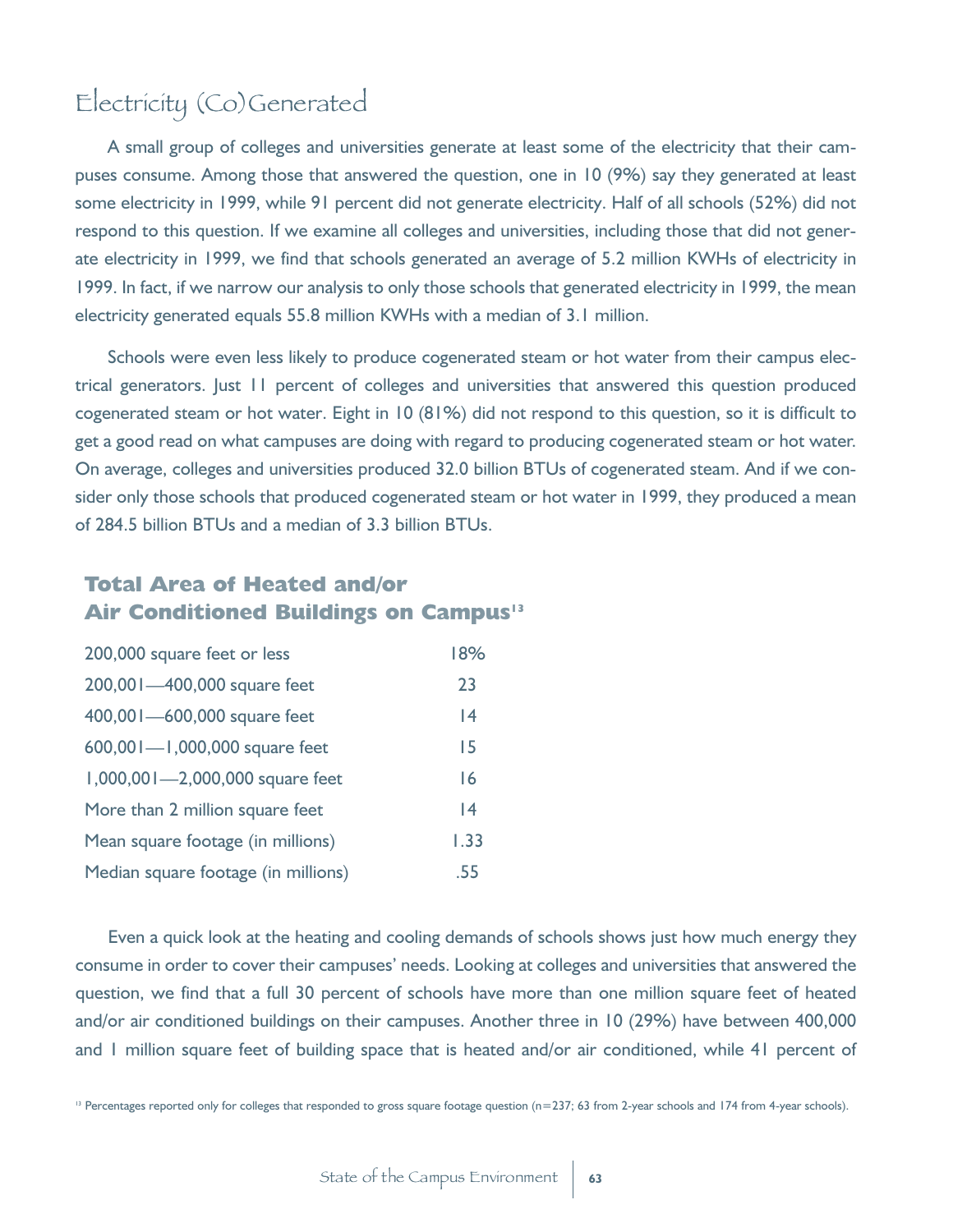## Electricity (Co)Generated

A small group of colleges and universities generate at least some of the electricity that their campuses consume. Among those that answered the question, one in 10 (9%) say they generated at least some electricity in 1999, while 91 percent did not generate electricity. Half of all schools (52%) did not respond to this question. If we examine all colleges and universities, including those that did not generate electricity in 1999, we find that schools generated an average of 5.2 million KWHs of electricity in 1999. In fact, if we narrow our analysis to only those schools that generated electricity in 1999, the mean electricity generated equals 55.8 million KWHs with a median of 3.1 million.

Schools were even less likely to produce cogenerated steam or hot water from their campus electrical generators. Just 11 percent of colleges and universities that answered this question produced cogenerated steam or hot water. Eight in 10 (81%) did not respond to this question, so it is difficult to get a good read on what campuses are doing with regard to producing cogenerated steam or hot water. On average, colleges and universities produced 32.0 billion BTUs of cogenerated steam. And if we consider only those schools that produced cogenerated steam or hot water in 1999, they produced a mean of 284.5 billion BTUs and a median of 3.3 billion BTUs.

#### **Total Area of Heated and/or Air Conditioned Buildings on Campus<sup>13</sup>**

| 200,000 square feet or less         | 18%  |
|-------------------------------------|------|
| 200,001-400,000 square feet         | 23   |
| 400,001-600,000 square feet         | 4    |
| 600,001-1,000,000 square feet       | 15   |
| 1,000,001-2,000,000 square feet     | 16   |
| More than 2 million square feet     | 4    |
| Mean square footage (in millions)   | 1.33 |
| Median square footage (in millions) | .55  |

Even a quick look at the heating and cooling demands of schools shows just how much energy they consume in order to cover their campuses' needs. Looking at colleges and universities that answered the question, we find that a full 30 percent of schools have more than one million square feet of heated and/or air conditioned buildings on their campuses. Another three in 10 (29%) have between 400,000 and 1 million square feet of building space that is heated and/or air conditioned, while 41 percent of

<sup>13</sup> Percentages reported only for colleges that responded to gross square footage question (n=237; 63 from 2-year schools and 174 from 4-year schools).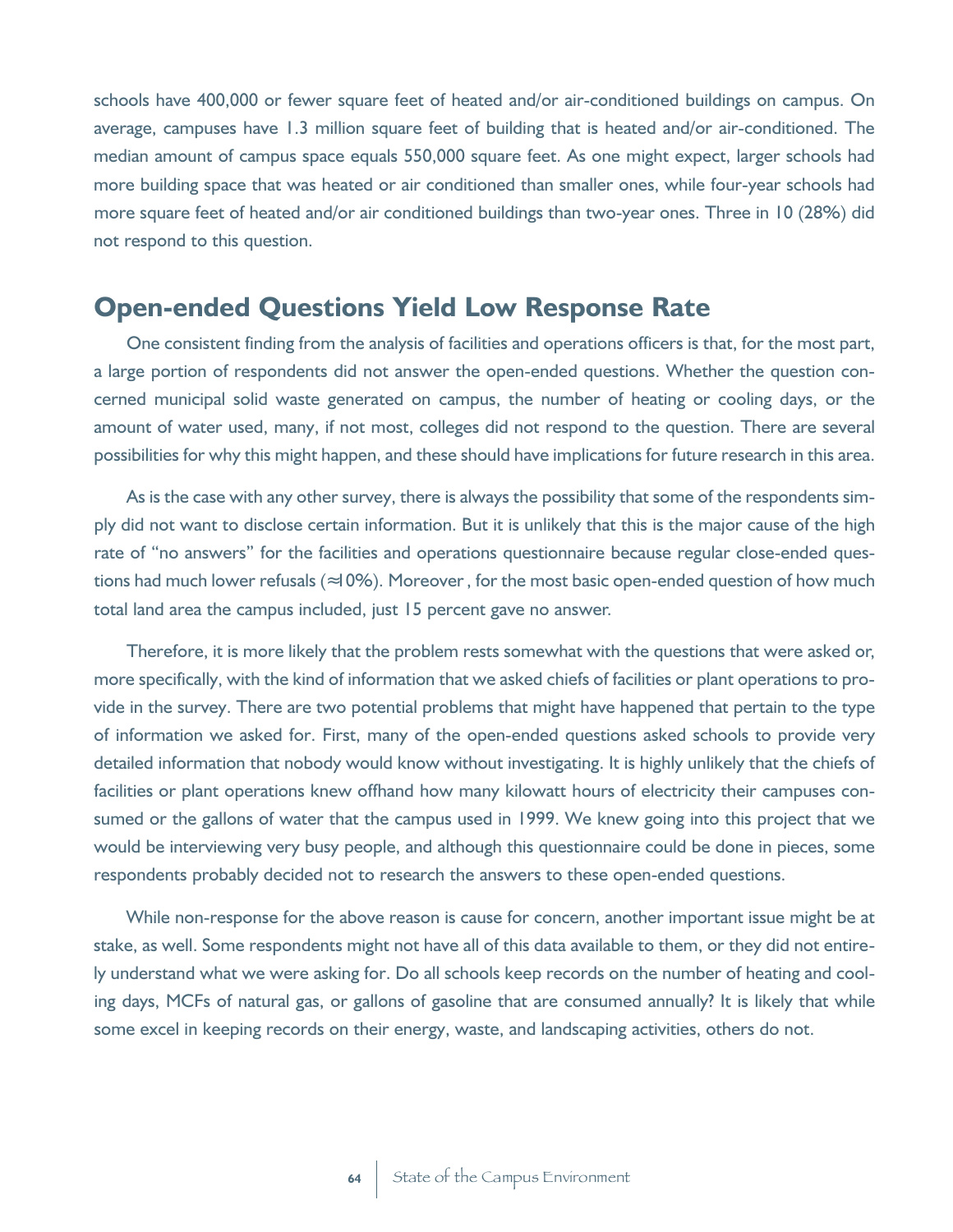schools have 400,000 or fewer square feet of heated and/or air-conditioned buildings on campus. On average, campuses have 1.3 million square feet of building that is heated and/or air-conditioned. The median amount of campus space equals 550,000 square feet. As one might expect, larger schools had more building space that was heated or air conditioned than smaller ones, while four-year schools had more square feet of heated and/or air conditioned buildings than two-year ones. Three in 10 (28%) did not respond to this question.

#### **Open-ended Questions Yield Low Response Rate**

One consistent finding from the analysis of facilities and operations officers is that, for the most part, a large portion of respondents did not answer the open-ended questions. Whether the question concerned municipal solid waste generated on campus, the number of heating or cooling days, or the amount of water used, many, if not most, colleges did not respond to the question. There are several possibilities for why this might happen, and these should have implications for future research in this area.

As is the case with any other survey, there is always the possibility that some of the respondents simply did not want to disclose certain information. But it is unlikely that this is the major cause of the high rate of "no answers" for the facilities and operations questionnaire because regular close-ended questions had much lower refusals ( 10%). Moreover, for the most basic open-ended question of how much total land area the campus included, just 15 percent gave no answer.

Therefore, it is more likely that the problem rests somewhat with the questions that were asked or, more specifically, with the kind of information that we asked chiefs of facilities or plant operations to provide in the survey. There are two potential problems that might have happened that pertain to the type of information we asked for. First, many of the open-ended questions asked schools to provide very detailed information that nobody would know without investigating. It is highly unlikely that the chiefs of facilities or plant operations knew offhand how many kilowatt hours of electricity their campuses consumed or the gallons of water that the campus used in 1999. We knew going into this project that we would be interviewing very busy people, and although this questionnaire could be done in pieces, some respondents probably decided not to research the answers to these open-ended questions.

While non-response for the above reason is cause for concern, another important issue might be at stake, as well. Some respondents might not have all of this data available to them, or they did not entirely understand what we were asking for. Do all schools keep records on the number of heating and cooling days, MCFs of natural gas, or gallons of gasoline that are consumed annually? It is likely that while some excel in keeping records on their energy, waste, and landscaping activities, others do not.